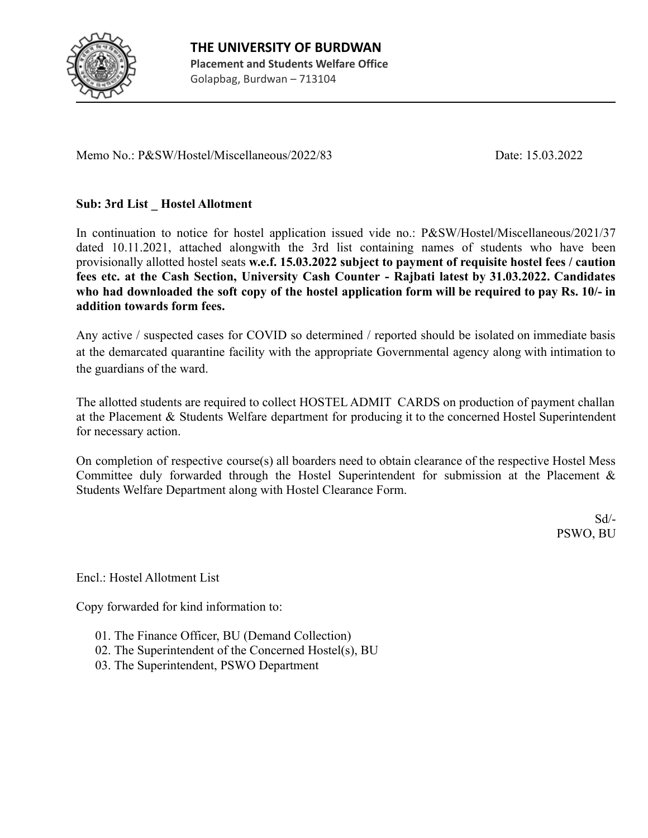

Memo No.: P&SW/Hostel/Miscellaneous/2022/83 Date: 15.03.2022

# **Sub: 3rd List \_ Hostel Allotment**

In continuation to notice for hostel application issued vide no.: P&SW/Hostel/Miscellaneous/2021/37 dated 10.11.2021, attached alongwith the 3rd list containing names of students who have been provisionally allotted hostel seats **w.e.f. 15.03.2022 subject to payment of requisite hostel fees / caution fees etc. at the Cash Section, University Cash Counter - Rajbati latest by 31.03.2022. Candidates** who had downloaded the soft copy of the hostel application form will be required to pay Rs. 10/- in **addition towards form fees.**

Any active / suspected cases for COVID so determined / reported should be isolated on immediate basis at the demarcated quarantine facility with the appropriate Governmental agency along with intimation to the guardians of the ward.

The allotted students are required to collect HOSTEL ADMIT CARDS on production of payment challan at the Placement & Students Welfare department for producing it to the concerned Hostel Superintendent for necessary action.

On completion of respective course(s) all boarders need to obtain clearance of the respective Hostel Mess Committee duly forwarded through the Hostel Superintendent for submission at the Placement & Students Welfare Department along with Hostel Clearance Form.

> Sd/- PSWO, BU

Encl.: Hostel Allotment List

Copy forwarded for kind information to:

- 01. The Finance Officer, BU (Demand Collection)
- 02. The Superintendent of the Concerned Hostel(s), BU
- 03. The Superintendent, PSWO Department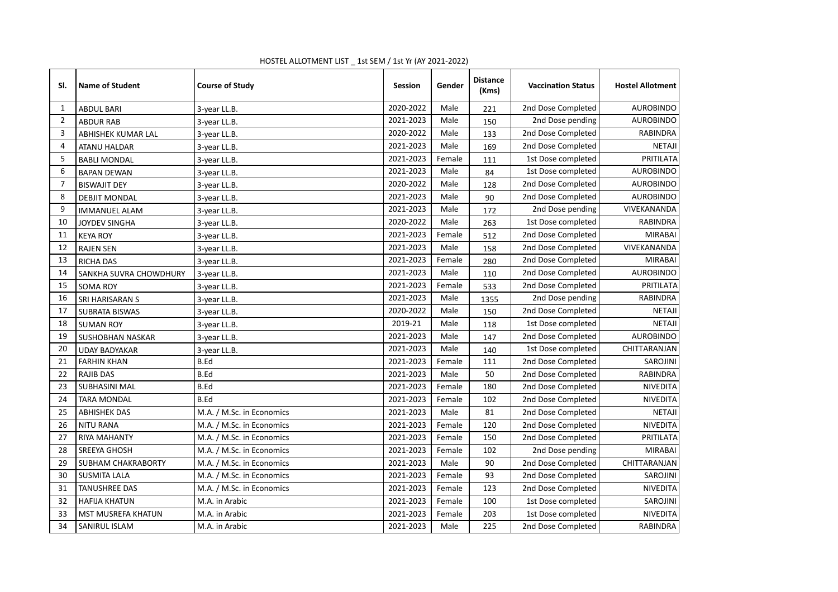| SI.            | <b>Name of Student</b>    | <b>Course of Study</b>    | <b>Session</b> | Gender | <b>Distance</b><br>(Kms) | <b>Vaccination Status</b> | <b>Hostel Allotment</b> |
|----------------|---------------------------|---------------------------|----------------|--------|--------------------------|---------------------------|-------------------------|
| 1              | <b>ABDUL BARI</b>         | 3-year LL.B.              | 2020-2022      | Male   | 221                      | 2nd Dose Completed        | <b>AUROBINDO</b>        |
| $\overline{2}$ | <b>ABDUR RAB</b>          | 3-year LL.B.              | 2021-2023      | Male   | 150                      | 2nd Dose pending          | <b>AUROBINDO</b>        |
| 3              | ABHISHEK KUMAR LAL        | 3-year LL.B.              | 2020-2022      | Male   | 133                      | 2nd Dose Completed        | <b>RABINDRA</b>         |
| 4              | <b>ATANU HALDAR</b>       | 3-year LL.B.              | 2021-2023      | Male   | 169                      | 2nd Dose Completed        | <b>NETAJI</b>           |
| 5              | <b>BABLI MONDAL</b>       | 3-year LL.B.              | 2021-2023      | Female | 111                      | 1st Dose completed        | PRITILATA               |
| 6              | <b>BAPAN DEWAN</b>        | 3-year LL.B.              | 2021-2023      | Male   | 84                       | 1st Dose completed        | <b>AUROBINDO</b>        |
| $\overline{7}$ | <b>BISWAJIT DEY</b>       | 3-year LL.B.              | 2020-2022      | Male   | 128                      | 2nd Dose Completed        | <b>AUROBINDO</b>        |
| 8              | <b>DEBJIT MONDAL</b>      | 3-year LL.B.              | 2021-2023      | Male   | 90                       | 2nd Dose Completed        | <b>AUROBINDO</b>        |
| 9              | <b>IMMANUEL ALAM</b>      | 3-year LL.B.              | 2021-2023      | Male   | 172                      | 2nd Dose pending          | VIVEKANANDA             |
| 10             | JOYDEV SINGHA             | 3-year LL.B.              | 2020-2022      | Male   | 263                      | 1st Dose completed        | RABINDRA                |
| 11             | <b>KEYA ROY</b>           | 3-year LL.B.              | 2021-2023      | Female | 512                      | 2nd Dose Completed        | <b>MIRABAI</b>          |
| 12             | <b>RAJEN SEN</b>          | 3-year LL.B.              | 2021-2023      | Male   | 158                      | 2nd Dose Completed        | VIVEKANANDA             |
| 13             | <b>RICHA DAS</b>          | 3-year LL.B.              | 2021-2023      | Female | 280                      | 2nd Dose Completed        | <b>MIRABAI</b>          |
| 14             | SANKHA SUVRA CHOWDHURY    | 3-year LL.B.              | 2021-2023      | Male   | 110                      | 2nd Dose Completed        | <b>AUROBINDO</b>        |
| 15             | <b>SOMA ROY</b>           | 3-year LL.B.              | 2021-2023      | Female | 533                      | 2nd Dose Completed        | PRITILATA               |
| 16             | SRI HARISARAN S           | 3-year LL.B.              | 2021-2023      | Male   | 1355                     | 2nd Dose pending          | RABINDRA                |
| 17             | <b>SUBRATA BISWAS</b>     | 3-year LL.B.              | 2020-2022      | Male   | 150                      | 2nd Dose Completed        | <b>NETAJI</b>           |
| 18             | <b>SUMAN ROY</b>          | 3-year LL.B.              | 2019-21        | Male   | 118                      | 1st Dose completed        | <b>NETAJI</b>           |
| 19             | SUSHOBHAN NASKAR          | 3-year LL.B.              | 2021-2023      | Male   | 147                      | 2nd Dose Completed        | <b>AUROBINDO</b>        |
| 20             | <b>UDAY BADYAKAR</b>      | 3-year LL.B.              | 2021-2023      | Male   | 140                      | 1st Dose completed        | CHITTARANJAN            |
| 21             | <b>FARHIN KHAN</b>        | B.Ed                      | 2021-2023      | Female | 111                      | 2nd Dose Completed        | <b>SAROJINI</b>         |
| 22             | <b>RAJIB DAS</b>          | B.Ed                      | 2021-2023      | Male   | 50                       | 2nd Dose Completed        | RABINDRA                |
| 23             | <b>SUBHASINI MAL</b>      | <b>B.Ed</b>               | 2021-2023      | Female | 180                      | 2nd Dose Completed        | <b>NIVEDITA</b>         |
| 24             | <b>TARA MONDAL</b>        | <b>B.Ed</b>               | 2021-2023      | Female | 102                      | 2nd Dose Completed        | NIVEDITA                |
| 25             | <b>ABHISHEK DAS</b>       | M.A. / M.Sc. in Economics | 2021-2023      | Male   | 81                       | 2nd Dose Completed        | <b>NETAJI</b>           |
| 26             | <b>NITU RANA</b>          | M.A. / M.Sc. in Economics | 2021-2023      | Female | 120                      | 2nd Dose Completed        | NIVEDITA                |
| 27             | <b>RIYA MAHANTY</b>       | M.A. / M.Sc. in Economics | 2021-2023      | Female | 150                      | 2nd Dose Completed        | PRITILATA               |
| 28             | <b>SREEYA GHOSH</b>       | M.A. / M.Sc. in Economics | 2021-2023      | Female | 102                      | 2nd Dose pending          | <b>MIRABAI</b>          |
| 29             | SUBHAM CHAKRABORTY        | M.A. / M.Sc. in Economics | 2021-2023      | Male   | 90                       | 2nd Dose Completed        | CHITTARANJAN            |
| 30             | <b>SUSMITA LALA</b>       | M.A. / M.Sc. in Economics | 2021-2023      | Female | 93                       | 2nd Dose Completed        | SAROJINI                |
| 31             | <b>TANUSHREE DAS</b>      | M.A. / M.Sc. in Economics | 2021-2023      | Female | 123                      | 2nd Dose Completed        | NIVEDITA                |
| 32             | <b>HAFIJA KHATUN</b>      | M.A. in Arabic            | 2021-2023      | Female | 100                      | 1st Dose completed        | <b>SAROJINI</b>         |
| 33             | <b>MST MUSREFA KHATUN</b> | M.A. in Arabic            | 2021-2023      | Female | 203                      | 1st Dose completed        | NIVEDITA                |
| 34             | SANIRUL ISLAM             | M.A. in Arabic            | 2021-2023      | Male   | 225                      | 2nd Dose Completed        | <b>RABINDRA</b>         |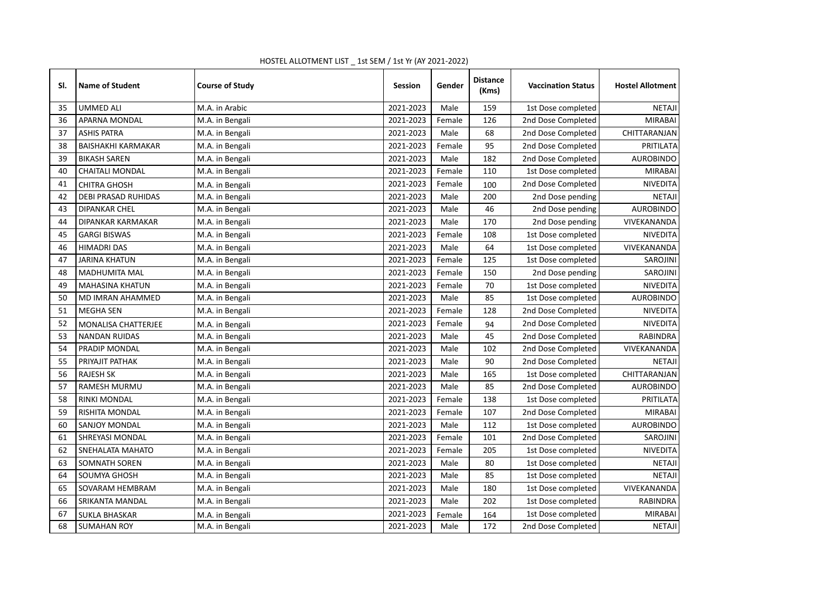| SI. | <b>Name of Student</b>     | <b>Course of Study</b> | <b>Session</b> | Gender | <b>Distance</b><br>(Kms) | <b>Vaccination Status</b> | <b>Hostel Allotment</b> |
|-----|----------------------------|------------------------|----------------|--------|--------------------------|---------------------------|-------------------------|
| 35  | <b>UMMED ALI</b>           | M.A. in Arabic         | 2021-2023      | Male   | 159                      | 1st Dose completed        | <b>NETAJI</b>           |
| 36  | <b>APARNA MONDAL</b>       | M.A. in Bengali        | 2021-2023      | Female | 126                      | 2nd Dose Completed        | <b>MIRABAI</b>          |
| 37  | <b>ASHIS PATRA</b>         | M.A. in Bengali        | 2021-2023      | Male   | 68                       | 2nd Dose Completed        | CHITTARANJAN            |
| 38  | <b>BAISHAKHI KARMAKAR</b>  | M.A. in Bengali        | 2021-2023      | Female | 95                       | 2nd Dose Completed        | PRITILATA               |
| 39  | <b>BIKASH SAREN</b>        | M.A. in Bengali        | 2021-2023      | Male   | 182                      | 2nd Dose Completed        | <b>AUROBINDO</b>        |
| 40  | <b>CHAITALI MONDAL</b>     | M.A. in Bengali        | 2021-2023      | Female | 110                      | 1st Dose completed        | <b>MIRABAI</b>          |
| 41  | <b>CHITRA GHOSH</b>        | M.A. in Bengali        | 2021-2023      | Female | 100                      | 2nd Dose Completed        | <b>NIVEDITA</b>         |
| 42  | <b>DEBI PRASAD RUHIDAS</b> | M.A. in Bengali        | 2021-2023      | Male   | 200                      | 2nd Dose pending          | <b>NETAJI</b>           |
| 43  | <b>DIPANKAR CHEL</b>       | M.A. in Bengali        | 2021-2023      | Male   | 46                       | 2nd Dose pending          | <b>AUROBINDO</b>        |
| 44  | DIPANKAR KARMAKAR          | M.A. in Bengali        | 2021-2023      | Male   | 170                      | 2nd Dose pending          | VIVEKANANDA             |
| 45  | <b>GARGI BISWAS</b>        | M.A. in Bengali        | 2021-2023      | Female | 108                      | 1st Dose completed        | <b>NIVEDITA</b>         |
| 46  | <b>HIMADRI DAS</b>         | M.A. in Bengali        | 2021-2023      | Male   | 64                       | 1st Dose completed        | VIVEKANANDA             |
| 47  | <b>JARINA KHATUN</b>       | M.A. in Bengali        | 2021-2023      | Female | 125                      | 1st Dose completed        | <b>SAROJINI</b>         |
| 48  | <b>MADHUMITA MAL</b>       | M.A. in Bengali        | 2021-2023      | Female | 150                      | 2nd Dose pending          | <b>SAROJINI</b>         |
| 49  | <b>MAHASINA KHATUN</b>     | M.A. in Bengali        | 2021-2023      | Female | 70                       | 1st Dose completed        | <b>NIVEDITA</b>         |
| 50  | MD IMRAN AHAMMED           | M.A. in Bengali        | 2021-2023      | Male   | 85                       | 1st Dose completed        | <b>AUROBINDO</b>        |
| 51  | <b>MEGHA SEN</b>           | M.A. in Bengali        | 2021-2023      | Female | 128                      | 2nd Dose Completed        | NIVEDITA                |
| 52  | MONALISA CHATTERJEE        | M.A. in Bengali        | 2021-2023      | Female | 94                       | 2nd Dose Completed        | <b>NIVEDITA</b>         |
| 53  | <b>NANDAN RUIDAS</b>       | M.A. in Bengali        | 2021-2023      | Male   | 45                       | 2nd Dose Completed        | RABINDRA                |
| 54  | PRADIP MONDAL              | M.A. in Bengali        | 2021-2023      | Male   | 102                      | 2nd Dose Completed        | VIVEKANANDA             |
| 55  | PRIYAJIT PATHAK            | M.A. in Bengali        | 2021-2023      | Male   | 90                       | 2nd Dose Completed        | <b>NETAJI</b>           |
| 56  | <b>RAJESH SK</b>           | M.A. in Bengali        | 2021-2023      | Male   | 165                      | 1st Dose completed        | CHITTARANJAN            |
| 57  | <b>RAMESH MURMU</b>        | M.A. in Bengali        | 2021-2023      | Male   | 85                       | 2nd Dose Completed        | <b>AUROBINDO</b>        |
| 58  | <b>RINKI MONDAL</b>        | M.A. in Bengali        | 2021-2023      | Female | 138                      | 1st Dose completed        | PRITILATA               |
| 59  | RISHITA MONDAL             | M.A. in Bengali        | 2021-2023      | Female | 107                      | 2nd Dose Completed        | <b>MIRABAI</b>          |
| 60  | <b>SANJOY MONDAL</b>       | M.A. in Bengali        | 2021-2023      | Male   | 112                      | 1st Dose completed        | <b>AUROBINDO</b>        |
| 61  | SHREYASI MONDAL            | M.A. in Bengali        | 2021-2023      | Female | 101                      | 2nd Dose Completed        | SAROJINI                |
| 62  | SNEHALATA MAHATO           | M.A. in Bengali        | 2021-2023      | Female | 205                      | 1st Dose completed        | NIVEDITA                |
| 63  | SOMNATH SOREN              | M.A. in Bengali        | 2021-2023      | Male   | 80                       | 1st Dose completed        | <b>NETAJI</b>           |
| 64  | SOUMYA GHOSH               | M.A. in Bengali        | 2021-2023      | Male   | 85                       | 1st Dose completed        | <b>NETAJI</b>           |
| 65  | SOVARAM HEMBRAM            | M.A. in Bengali        | 2021-2023      | Male   | 180                      | 1st Dose completed        | VIVEKANANDA             |
| 66  | SRIKANTA MANDAL            | M.A. in Bengali        | 2021-2023      | Male   | 202                      | 1st Dose completed        | RABINDRA                |
| 67  | <b>SUKLA BHASKAR</b>       | M.A. in Bengali        | 2021-2023      | Female | 164                      | 1st Dose completed        | <b>MIRABAI</b>          |
| 68  | <b>SUMAHAN ROY</b>         | M.A. in Bengali        | 2021-2023      | Male   | 172                      | 2nd Dose Completed        | <b>NETAJI</b>           |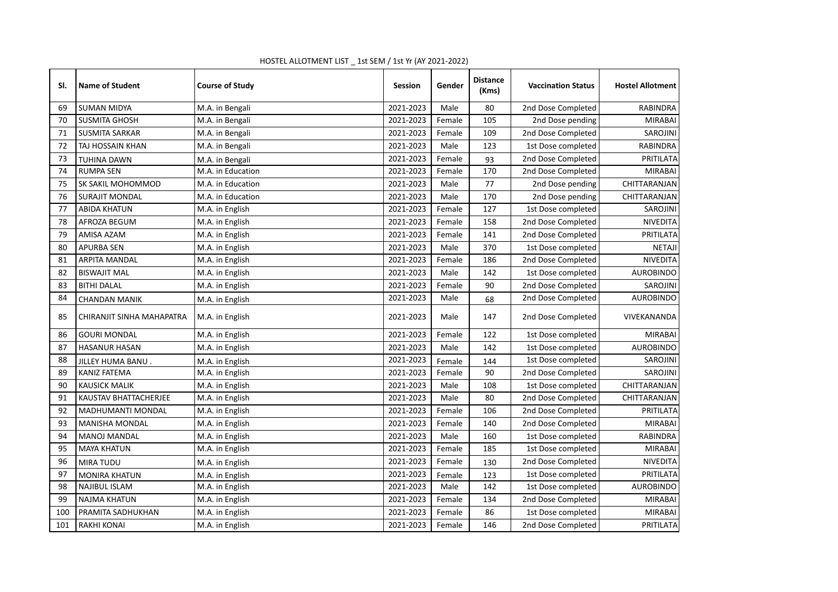| SI. | <b>Name of Student</b>    | <b>Course of Study</b> | <b>Session</b> | Gender | <b>Distance</b><br>(Kms) | <b>Vaccination Status</b> | <b>Hostel Allotment</b> |
|-----|---------------------------|------------------------|----------------|--------|--------------------------|---------------------------|-------------------------|
| 69  | <b>SUMAN MIDYA</b>        | M.A. in Bengali        | 2021-2023      | Male   | 80                       | 2nd Dose Completed        | RABINDRA                |
| 70  | <b>SUSMITA GHOSH</b>      | M.A. in Bengali        | 2021-2023      | Female | 105                      | 2nd Dose pending          | <b>MIRABAI</b>          |
| 71  | <b>SUSMITA SARKAR</b>     | M.A. in Bengali        | 2021-2023      | Female | 109                      | 2nd Dose Completed        | SAROJINI                |
| 72  | TAJ HOSSAIN KHAN          | M.A. in Bengali        | 2021-2023      | Male   | 123                      | 1st Dose completed        | <b>RABINDRA</b>         |
| 73  | <b>TUHINA DAWN</b>        | M.A. in Bengali        | 2021-2023      | Female | 93                       | 2nd Dose Completed        | PRITILATA               |
| 74  | <b>RUMPA SEN</b>          | M.A. in Education      | 2021-2023      | Female | 170                      | 2nd Dose Completed        | <b>MIRABAI</b>          |
| 75  | <b>SK SAKIL MOHOMMOD</b>  | M.A. in Education      | 2021-2023      | Male   | 77                       | 2nd Dose pending          | CHITTARANJAN            |
| 76  | <b>SURAJIT MONDAL</b>     | M.A. in Education      | 2021-2023      | Male   | 170                      | 2nd Dose pending          | CHITTARANJAN            |
| 77  | <b>ABIDA KHATUN</b>       | M.A. in English        | 2021-2023      | Female | 127                      | 1st Dose completed        | SAROJINI                |
| 78  | AFROZA BEGUM              | M.A. in English        | 2021-2023      | Female | 158                      | 2nd Dose Completed        | NIVEDITA                |
| 79  | AMISA AZAM                | M.A. in English        | 2021-2023      | Female | 141                      | 2nd Dose Completed        | PRITILATA               |
| 80  | <b>APURBA SEN</b>         | M.A. in English        | 2021-2023      | Male   | 370                      | 1st Dose completed        | <b>NETAJI</b>           |
| 81  | ARPITA MANDAL             | M.A. in English        | 2021-2023      | Female | 186                      | 2nd Dose Completed        | NIVEDITA                |
| 82  | <b>BISWAJIT MAL</b>       | M.A. in English        | 2021-2023      | Male   | 142                      | 1st Dose completed        | <b>AUROBINDO</b>        |
| 83  | <b>BITHI DALAL</b>        | M.A. in English        | 2021-2023      | Female | 90                       | 2nd Dose Completed        | SAROJINI                |
| 84  | <b>CHANDAN MANIK</b>      | M.A. in English        | 2021-2023      | Male   | 68                       | 2nd Dose Completed        | <b>AUROBINDO</b>        |
| 85  | CHIRANJIT SINHA MAHAPATRA | M.A. in English        | 2021-2023      | Male   | 147                      | 2nd Dose Completed        | VIVEKANANDA             |
| 86  | <b>GOURI MONDAL</b>       | M.A. in English        | 2021-2023      | Female | 122                      | 1st Dose completed        | <b>MIRABAI</b>          |
| 87  | <b>HASANUR HASAN</b>      | M.A. in English        | 2021-2023      | Male   | 142                      | 1st Dose completed        | <b>AUROBINDO</b>        |
| 88  | JILLEY HUMA BANU.         | M.A. in English        | 2021-2023      | Female | 144                      | 1st Dose completed        | SAROJINI                |
| 89  | <b>KANIZ FATEMA</b>       | M.A. in English        | 2021-2023      | Female | 90                       | 2nd Dose Completed        | <b>SAROJINI</b>         |
| 90  | <b>KAUSICK MALIK</b>      | M.A. in English        | 2021-2023      | Male   | 108                      | 1st Dose completed        | CHITTARANJAN            |
| 91  | KAUSTAV BHATTACHERJEE     | M.A. in English        | 2021-2023      | Male   | 80                       | 2nd Dose Completed        | CHITTARANJAN            |
| 92  | <b>MADHUMANTI MONDAL</b>  | M.A. in English        | 2021-2023      | Female | 106                      | 2nd Dose Completed        | PRITILATA               |
| 93  | <b>MANISHA MONDAL</b>     | M.A. in English        | 2021-2023      | Female | 140                      | 2nd Dose Completed        | <b>MIRABAI</b>          |
| 94  | <b>MANOJ MANDAL</b>       | M.A. in English        | 2021-2023      | Male   | 160                      | 1st Dose completed        | RABINDRA                |
| 95  | <b>MAYA KHATUN</b>        | M.A. in English        | 2021-2023      | Female | 185                      | 1st Dose completed        | <b>MIRABAI</b>          |
| 96  | <b>MIRA TUDU</b>          | M.A. in English        | 2021-2023      | Female | 130                      | 2nd Dose Completed        | NIVEDITA                |
| 97  | <b>MONIRA KHATUN</b>      | M.A. in English        | 2021-2023      | Female | 123                      | 1st Dose completed        | PRITILATA               |
| 98  | <b>NAJIBUL ISLAM</b>      | M.A. in English        | 2021-2023      | Male   | 142                      | 1st Dose completed        | <b>AUROBINDO</b>        |
| 99  | <b>NAJMA KHATUN</b>       | M.A. in English        | 2021-2023      | Female | 134                      | 2nd Dose Completed        | <b>MIRABAI</b>          |
| 100 | PRAMITA SADHUKHAN         | M.A. in English        | 2021-2023      | Female | 86                       | 1st Dose completed        | <b>MIRABAI</b>          |
| 101 | <b>RAKHI KONAI</b>        | M.A. in English        | 2021-2023      | Female | 146                      | 2nd Dose Completed        | PRITILATA               |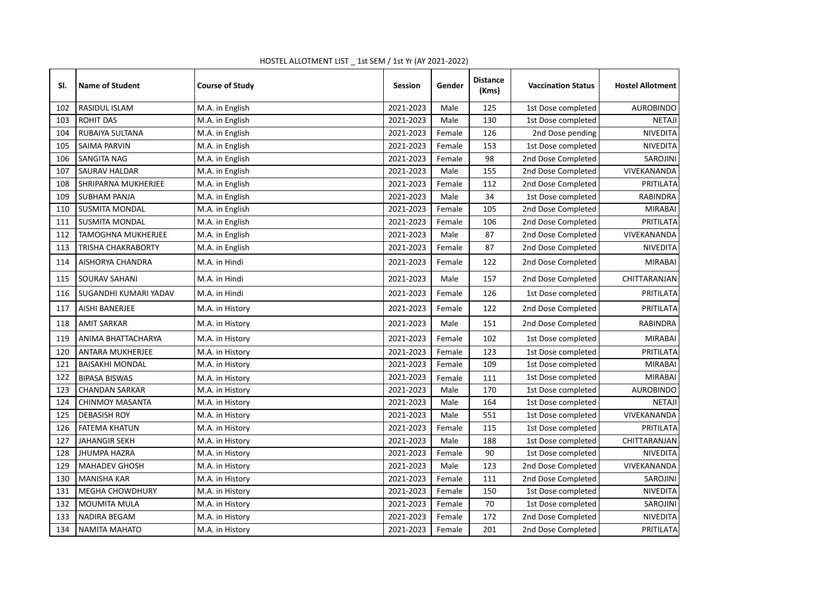| SI. | <b>Name of Student</b>    | <b>Course of Study</b> | <b>Session</b> | Gender | <b>Distance</b><br>(Kms) | <b>Vaccination Status</b> | <b>Hostel Allotment</b> |
|-----|---------------------------|------------------------|----------------|--------|--------------------------|---------------------------|-------------------------|
| 102 | <b>RASIDUL ISLAM</b>      | M.A. in English        | 2021-2023      | Male   | 125                      | 1st Dose completed        | <b>AUROBINDO</b>        |
| 103 | <b>ROHIT DAS</b>          | M.A. in English        | 2021-2023      | Male   | 130                      | 1st Dose completed        | <b>NETAJI</b>           |
| 104 | RUBAIYA SULTANA           | M.A. in English        | 2021-2023      | Female | 126                      | 2nd Dose pending          | NIVEDITA                |
| 105 | <b>SAIMA PARVIN</b>       | M.A. in English        | 2021-2023      | Female | 153                      | 1st Dose completed        | NIVEDITA                |
| 106 | SANGITA NAG               | M.A. in English        | 2021-2023      | Female | 98                       | 2nd Dose Completed        | SAROJINI                |
| 107 | <b>SAURAV HALDAR</b>      | M.A. in English        | 2021-2023      | Male   | 155                      | 2nd Dose Completed        | VIVEKANANDA             |
| 108 | SHRIPARNA MUKHERJEE       | M.A. in English        | 2021-2023      | Female | 112                      | 2nd Dose Completed        | PRITILATA               |
| 109 | <b>SUBHAM PANJA</b>       | M.A. in English        | 2021-2023      | Male   | 34                       | 1st Dose completed        | <b>RABINDRA</b>         |
| 110 | <b>SUSMITA MONDAL</b>     | M.A. in English        | 2021-2023      | Female | 105                      | 2nd Dose Completed        | <b>MIRABAI</b>          |
| 111 | <b>SUSMITA MONDAL</b>     | M.A. in English        | 2021-2023      | Female | 106                      | 2nd Dose Completed        | PRITILATA               |
| 112 | TAMOGHNA MUKHERJEE        | M.A. in English        | 2021-2023      | Male   | 87                       | 2nd Dose Completed        | VIVEKANANDA             |
| 113 | <b>TRISHA CHAKRABORTY</b> | M.A. in English        | 2021-2023      | Female | 87                       | 2nd Dose Completed        | <b>NIVEDITA</b>         |
| 114 | AISHORYA CHANDRA          | M.A. in Hindi          | 2021-2023      | Female | 122                      | 2nd Dose Completed        | <b>MIRABAI</b>          |
| 115 | SOURAV SAHANI             | M.A. in Hindi          | 2021-2023      | Male   | 157                      | 2nd Dose Completed        | CHITTARANJAN            |
| 116 | SUGANDHI KUMARI YADAV     | M.A. in Hindi          | 2021-2023      | Female | 126                      | 1st Dose completed        | PRITILATA               |
| 117 | <b>AISHI BANERJEE</b>     | M.A. in History        | 2021-2023      | Female | 122                      | 2nd Dose Completed        | PRITILATA               |
| 118 | <b>AMIT SARKAR</b>        | M.A. in History        | 2021-2023      | Male   | 151                      | 2nd Dose Completed        | RABINDRA                |
| 119 | ANIMA BHATTACHARYA        | M.A. in History        | 2021-2023      | Female | 102                      | 1st Dose completed        | <b>MIRABAI</b>          |
| 120 | <b>ANTARA MUKHERJEE</b>   | M.A. in History        | 2021-2023      | Female | 123                      | 1st Dose completed        | PRITILATA               |
| 121 | <b>BAISAKHI MONDAL</b>    | M.A. in History        | 2021-2023      | Female | 109                      | 1st Dose completed        | <b>MIRABAI</b>          |
| 122 | <b>BIPASA BISWAS</b>      | M.A. in History        | 2021-2023      | Female | 111                      | 1st Dose completed        | <b>MIRABAI</b>          |
| 123 | <b>CHANDAN SARKAR</b>     | M.A. in History        | 2021-2023      | Male   | 170                      | 1st Dose completed        | <b>AUROBINDO</b>        |
| 124 | <b>CHINMOY MASANTA</b>    | M.A. in History        | 2021-2023      | Male   | 164                      | 1st Dose completed        | <b>NETAJI</b>           |
| 125 | <b>DEBASISH ROY</b>       | M.A. in History        | 2021-2023      | Male   | 551                      | 1st Dose completed        | VIVEKANANDA             |
| 126 | <b>FATEMA KHATUN</b>      | M.A. in History        | 2021-2023      | Female | 115                      | 1st Dose completed        | PRITILATA               |
| 127 | <b>JAHANGIR SEKH</b>      | M.A. in History        | 2021-2023      | Male   | 188                      | 1st Dose completed        | CHITTARANJAN            |
| 128 | <b>JHUMPA HAZRA</b>       | M.A. in History        | 2021-2023      | Female | 90                       | 1st Dose completed        | <b>NIVEDITA</b>         |
| 129 | <b>MAHADEV GHOSH</b>      | M.A. in History        | 2021-2023      | Male   | 123                      | 2nd Dose Completed        | VIVEKANANDA             |
| 130 | <b>MANISHA KAR</b>        | M.A. in History        | 2021-2023      | Female | 111                      | 2nd Dose Completed        | <b>SAROJINI</b>         |
| 131 | <b>MEGHA CHOWDHURY</b>    | M.A. in History        | 2021-2023      | Female | 150                      | 1st Dose completed        | <b>NIVEDITA</b>         |
| 132 | MOUMITA MULA              | M.A. in History        | 2021-2023      | Female | 70                       | 1st Dose completed        | SAROJINI                |
| 133 | <b>NADIRA BEGAM</b>       | M.A. in History        | 2021-2023      | Female | 172                      | 2nd Dose Completed        | NIVEDITA                |
| 134 | <b>NAMITA MAHATO</b>      | M.A. in History        | 2021-2023      | Female | 201                      | 2nd Dose Completed        | PRITILATA               |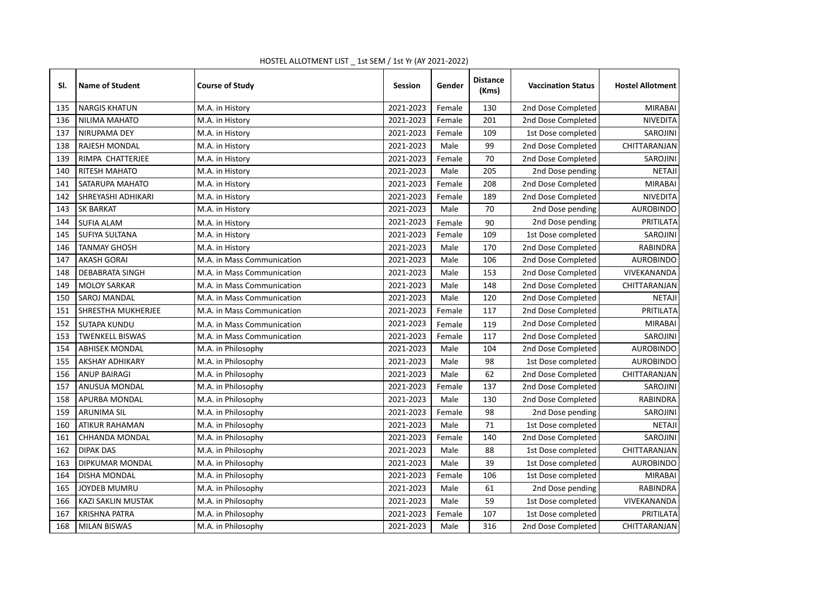| SI. | <b>Name of Student</b> | <b>Course of Study</b>     | <b>Session</b> | Gender | <b>Distance</b><br>(Kms) | <b>Vaccination Status</b> | <b>Hostel Allotment</b> |
|-----|------------------------|----------------------------|----------------|--------|--------------------------|---------------------------|-------------------------|
| 135 | <b>NARGIS KHATUN</b>   | M.A. in History            | 2021-2023      | Female | 130                      | 2nd Dose Completed        | <b>MIRABAI</b>          |
| 136 | <b>NILIMA MAHATO</b>   | M.A. in History            | 2021-2023      | Female | 201                      | 2nd Dose Completed        | <b>NIVEDITA</b>         |
| 137 | NIRUPAMA DEY           | M.A. in History            | 2021-2023      | Female | 109                      | 1st Dose completed        | SAROJINI                |
| 138 | <b>RAJESH MONDAL</b>   | M.A. in History            | 2021-2023      | Male   | 99                       | 2nd Dose Completed        | CHITTARANJAN            |
| 139 | RIMPA CHATTERJEE       | M.A. in History            | 2021-2023      | Female | 70                       | 2nd Dose Completed        | SAROJINI                |
| 140 | <b>RITESH MAHATO</b>   | M.A. in History            | 2021-2023      | Male   | 205                      | 2nd Dose pending          | <b>NETAJI</b>           |
| 141 | SATARUPA MAHATO        | M.A. in History            | 2021-2023      | Female | 208                      | 2nd Dose Completed        | <b>MIRABAI</b>          |
| 142 | SHREYASHI ADHIKARI     | M.A. in History            | 2021-2023      | Female | 189                      | 2nd Dose Completed        | <b>NIVEDITA</b>         |
| 143 | <b>SK BARKAT</b>       | M.A. in History            | 2021-2023      | Male   | 70                       | 2nd Dose pending          | <b>AUROBINDO</b>        |
| 144 | <b>SUFIA ALAM</b>      | M.A. in History            | 2021-2023      | Female | 90                       | 2nd Dose pending          | PRITILATA               |
| 145 | <b>SUFIYA SULTANA</b>  | M.A. in History            | 2021-2023      | Female | 109                      | 1st Dose completed        | SAROJINI                |
| 146 | <b>TANMAY GHOSH</b>    | M.A. in History            | 2021-2023      | Male   | 170                      | 2nd Dose Completed        | RABINDRA                |
| 147 | <b>AKASH GORAI</b>     | M.A. in Mass Communication | 2021-2023      | Male   | 106                      | 2nd Dose Completed        | <b>AUROBINDO</b>        |
| 148 | <b>DEBABRATA SINGH</b> | M.A. in Mass Communication | 2021-2023      | Male   | 153                      | 2nd Dose Completed        | VIVEKANANDA             |
| 149 | <b>MOLOY SARKAR</b>    | M.A. in Mass Communication | 2021-2023      | Male   | 148                      | 2nd Dose Completed        | CHITTARANJAN            |
| 150 | SAROJ MANDAL           | M.A. in Mass Communication | 2021-2023      | Male   | 120                      | 2nd Dose Completed        | <b>NETAJI</b>           |
| 151 | SHRESTHA MUKHERJEE     | M.A. in Mass Communication | 2021-2023      | Female | 117                      | 2nd Dose Completed        | PRITILATA               |
| 152 | <b>SUTAPA KUNDU</b>    | M.A. in Mass Communication | 2021-2023      | Female | 119                      | 2nd Dose Completed        | <b>MIRABAI</b>          |
| 153 | <b>TWENKELL BISWAS</b> | M.A. in Mass Communication | 2021-2023      | Female | 117                      | 2nd Dose Completed        | SAROJINI                |
| 154 | <b>ABHISEK MONDAL</b>  | M.A. in Philosophy         | 2021-2023      | Male   | 104                      | 2nd Dose Completed        | <b>AUROBINDO</b>        |
| 155 | <b>AKSHAY ADHIKARY</b> | M.A. in Philosophy         | 2021-2023      | Male   | 98                       | 1st Dose completed        | <b>AUROBINDO</b>        |
| 156 | <b>ANUP BAIRAGI</b>    | M.A. in Philosophy         | 2021-2023      | Male   | 62                       | 2nd Dose Completed        | CHITTARANJAN            |
| 157 | ANUSUA MONDAL          | M.A. in Philosophy         | 2021-2023      | Female | 137                      | 2nd Dose Completed        | SAROJINI                |
| 158 | APURBA MONDAL          | M.A. in Philosophy         | 2021-2023      | Male   | 130                      | 2nd Dose Completed        | <b>RABINDRA</b>         |
| 159 | <b>ARUNIMA SIL</b>     | M.A. in Philosophy         | 2021-2023      | Female | 98                       | 2nd Dose pending          | SAROJINI                |
| 160 | <b>ATIKUR RAHAMAN</b>  | M.A. in Philosophy         | 2021-2023      | Male   | 71                       | 1st Dose completed        | <b>NETAJI</b>           |
| 161 | CHHANDA MONDAL         | M.A. in Philosophy         | 2021-2023      | Female | 140                      | 2nd Dose Completed        | SAROJINI                |
| 162 | <b>DIPAK DAS</b>       | M.A. in Philosophy         | 2021-2023      | Male   | 88                       | 1st Dose completed        | CHITTARANJAN            |
| 163 | DIPKUMAR MONDAL        | M.A. in Philosophy         | 2021-2023      | Male   | 39                       | 1st Dose completed        | <b>AUROBINDO</b>        |
| 164 | <b>DISHA MONDAL</b>    | M.A. in Philosophy         | 2021-2023      | Female | 106                      | 1st Dose completed        | <b>MIRABAI</b>          |
| 165 | <b>JOYDEB MUMRU</b>    | M.A. in Philosophy         | 2021-2023      | Male   | 61                       | 2nd Dose pending          | <b>RABINDRA</b>         |
| 166 | KAZI SAKLIN MUSTAK     | M.A. in Philosophy         | 2021-2023      | Male   | 59                       | 1st Dose completed        | VIVEKANANDA             |
| 167 | <b>KRISHNA PATRA</b>   | M.A. in Philosophy         | 2021-2023      | Female | 107                      | 1st Dose completed        | PRITILATA               |
| 168 | <b>MILAN BISWAS</b>    | M.A. in Philosophy         | 2021-2023      | Male   | 316                      | 2nd Dose Completed        | CHITTARANJAN            |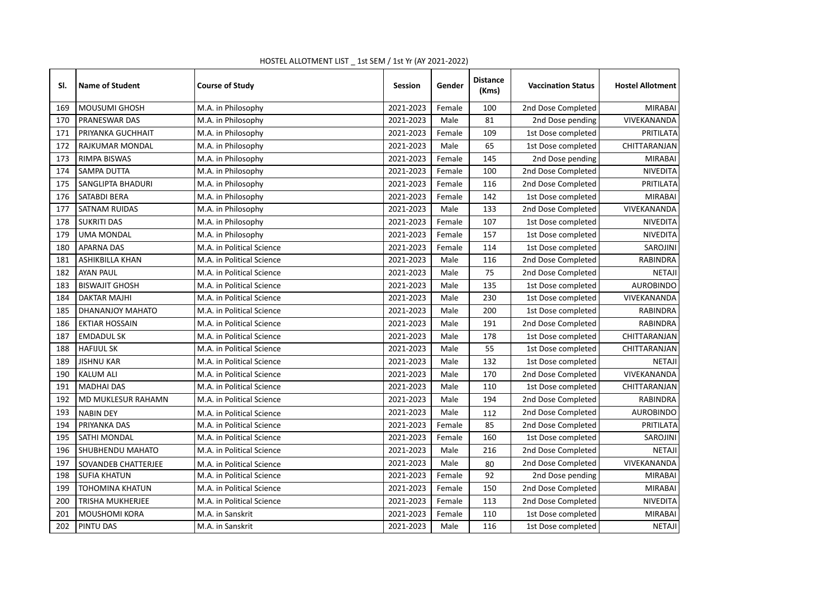| SI. | <b>Name of Student</b>  | <b>Course of Study</b>    | <b>Session</b> | Gender | <b>Distance</b><br>(Kms) | <b>Vaccination Status</b> | <b>Hostel Allotment</b> |
|-----|-------------------------|---------------------------|----------------|--------|--------------------------|---------------------------|-------------------------|
| 169 | <b>MOUSUMI GHOSH</b>    | M.A. in Philosophy        | 2021-2023      | Female | 100                      | 2nd Dose Completed        | <b>MIRABAI</b>          |
| 170 | PRANESWAR DAS           | M.A. in Philosophy        | 2021-2023      | Male   | 81                       | 2nd Dose pending          | VIVEKANANDA             |
| 171 | PRIYANKA GUCHHAIT       | M.A. in Philosophy        | 2021-2023      | Female | 109                      | 1st Dose completed        | PRITILATA               |
| 172 | RAJKUMAR MONDAL         | M.A. in Philosophy        | 2021-2023      | Male   | 65                       | 1st Dose completed        | CHITTARANJAN            |
| 173 | RIMPA BISWAS            | M.A. in Philosophy        | 2021-2023      | Female | 145                      | 2nd Dose pending          | <b>MIRABAI</b>          |
| 174 | SAMPA DUTTA             | M.A. in Philosophy        | 2021-2023      | Female | 100                      | 2nd Dose Completed        | <b>NIVEDITA</b>         |
| 175 | SANGLIPTA BHADURI       | M.A. in Philosophy        | 2021-2023      | Female | 116                      | 2nd Dose Completed        | PRITILATA               |
| 176 | SATABDI BERA            | M.A. in Philosophy        | 2021-2023      | Female | 142                      | 1st Dose completed        | <b>MIRABAI</b>          |
| 177 | <b>SATNAM RUIDAS</b>    | M.A. in Philosophy        | 2021-2023      | Male   | 133                      | 2nd Dose Completed        | VIVEKANANDA             |
| 178 | <b>SUKRITI DAS</b>      | M.A. in Philosophy        | 2021-2023      | Female | 107                      | 1st Dose completed        | <b>NIVEDITA</b>         |
| 179 | <b>UMA MONDAL</b>       | M.A. in Philosophy        | 2021-2023      | Female | 157                      | 1st Dose completed        | <b>NIVEDITA</b>         |
| 180 | <b>APARNA DAS</b>       | M.A. in Political Science | 2021-2023      | Female | 114                      | 1st Dose completed        | <b>SAROJINI</b>         |
| 181 | ASHIKBILLA KHAN         | M.A. in Political Science | 2021-2023      | Male   | 116                      | 2nd Dose Completed        | RABINDRA                |
| 182 | <b>AYAN PAUL</b>        | M.A. in Political Science | 2021-2023      | Male   | 75                       | 2nd Dose Completed        | <b>NETAJI</b>           |
| 183 | <b>BISWAJIT GHOSH</b>   | M.A. in Political Science | 2021-2023      | Male   | 135                      | 1st Dose completed        | <b>AUROBINDO</b>        |
| 184 | <b>DAKTAR MAJHI</b>     | M.A. in Political Science | 2021-2023      | Male   | 230                      | 1st Dose completed        | VIVEKANANDA             |
| 185 | DHANANJOY MAHATO        | M.A. in Political Science | 2021-2023      | Male   | 200                      | 1st Dose completed        | <b>RABINDRA</b>         |
| 186 | <b>EKTIAR HOSSAIN</b>   | M.A. in Political Science | 2021-2023      | Male   | 191                      | 2nd Dose Completed        | <b>RABINDRA</b>         |
| 187 | <b>EMDADUL SK</b>       | M.A. in Political Science | 2021-2023      | Male   | 178                      | 1st Dose completed        | CHITTARANJAN            |
| 188 | <b>HAFIJUL SK</b>       | M.A. in Political Science | 2021-2023      | Male   | 55                       | 1st Dose completed        | CHITTARANJAN            |
| 189 | <b>JISHNU KAR</b>       | M.A. in Political Science | 2021-2023      | Male   | 132                      | 1st Dose completed        | <b>NETAJI</b>           |
| 190 | <b>KALUM ALI</b>        | M.A. in Political Science | 2021-2023      | Male   | 170                      | 2nd Dose Completed        | VIVEKANANDA             |
| 191 | <b>MADHAI DAS</b>       | M.A. in Political Science | 2021-2023      | Male   | 110                      | 1st Dose completed        | CHITTARANJAN            |
| 192 | MD MUKLESUR RAHAMN      | M.A. in Political Science | 2021-2023      | Male   | 194                      | 2nd Dose Completed        | RABINDRA                |
| 193 | <b>NABIN DEY</b>        | M.A. in Political Science | 2021-2023      | Male   | 112                      | 2nd Dose Completed        | <b>AUROBINDO</b>        |
| 194 | PRIYANKA DAS            | M.A. in Political Science | 2021-2023      | Female | 85                       | 2nd Dose Completed        | PRITILATA               |
| 195 | <b>SATHI MONDAL</b>     | M.A. in Political Science | 2021-2023      | Female | 160                      | 1st Dose completed        | SAROJINI                |
| 196 | SHUBHENDU MAHATO        | M.A. in Political Science | 2021-2023      | Male   | 216                      | 2nd Dose Completed        | <b>NETAJI</b>           |
| 197 | SOVANDEB CHATTERJEE     | M.A. in Political Science | 2021-2023      | Male   | 80                       | 2nd Dose Completed        | VIVEKANANDA             |
| 198 | <b>SUFIA KHATUN</b>     | M.A. in Political Science | 2021-2023      | Female | 92                       | 2nd Dose pending          | <b>MIRABAI</b>          |
| 199 | <b>TOHOMINA KHATUN</b>  | M.A. in Political Science | 2021-2023      | Female | 150                      | 2nd Dose Completed        | <b>MIRABAI</b>          |
| 200 | <b>TRISHA MUKHERJEE</b> | M.A. in Political Science | 2021-2023      | Female | 113                      | 2nd Dose Completed        | NIVEDITA                |
| 201 | <b>MOUSHOMI KORA</b>    | M.A. in Sanskrit          | 2021-2023      | Female | 110                      | 1st Dose completed        | <b>MIRABAI</b>          |
| 202 | PINTU DAS               | M.A. in Sanskrit          | 2021-2023      | Male   | 116                      | 1st Dose completed        | <b>NETAJI</b>           |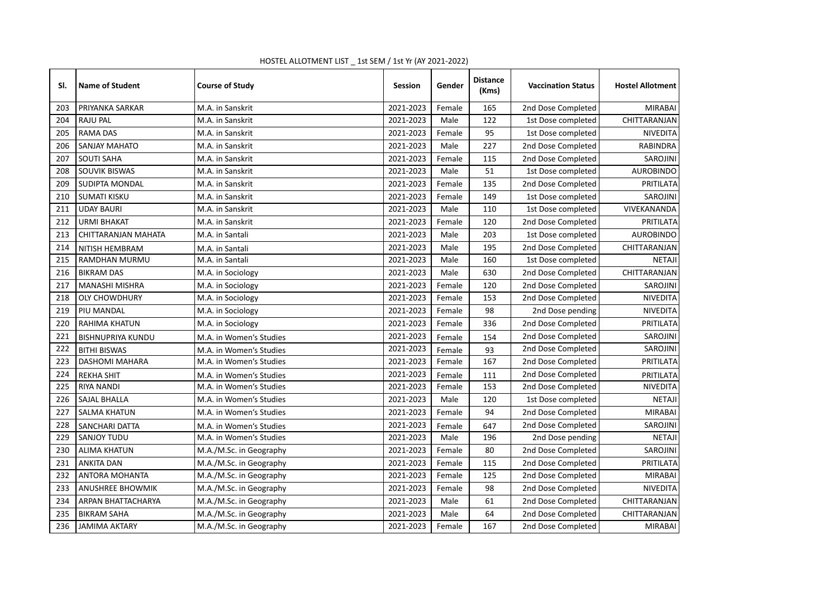| SI. | <b>Name of Student</b>   | <b>Course of Study</b>  | <b>Session</b> | Gender | <b>Distance</b><br>(Kms) | <b>Vaccination Status</b> | <b>Hostel Allotment</b> |
|-----|--------------------------|-------------------------|----------------|--------|--------------------------|---------------------------|-------------------------|
| 203 | PRIYANKA SARKAR          | M.A. in Sanskrit        | 2021-2023      | Female | 165                      | 2nd Dose Completed        | <b>MIRABAI</b>          |
| 204 | <b>RAJU PAL</b>          | M.A. in Sanskrit        | 2021-2023      | Male   | 122                      | 1st Dose completed        | CHITTARANJAN            |
| 205 | <b>RAMA DAS</b>          | M.A. in Sanskrit        | 2021-2023      | Female | 95                       | 1st Dose completed        | <b>NIVEDITA</b>         |
| 206 | SANJAY MAHATO            | M.A. in Sanskrit        | 2021-2023      | Male   | 227                      | 2nd Dose Completed        | <b>RABINDRA</b>         |
| 207 | <b>SOUTI SAHA</b>        | M.A. in Sanskrit        | 2021-2023      | Female | 115                      | 2nd Dose Completed        | SAROJINI                |
| 208 | <b>SOUVIK BISWAS</b>     | M.A. in Sanskrit        | 2021-2023      | Male   | 51                       | 1st Dose completed        | <b>AUROBINDO</b>        |
| 209 | SUDIPTA MONDAL           | M.A. in Sanskrit        | 2021-2023      | Female | 135                      | 2nd Dose Completed        | PRITILATA               |
| 210 | <b>SUMATI KISKU</b>      | M.A. in Sanskrit        | 2021-2023      | Female | 149                      | 1st Dose completed        | <b>SAROJINI</b>         |
| 211 | <b>UDAY BAURI</b>        | M.A. in Sanskrit        | 2021-2023      | Male   | 110                      | 1st Dose completed        | VIVEKANANDA             |
| 212 | <b>URMI BHAKAT</b>       | M.A. in Sanskrit        | 2021-2023      | Female | 120                      | 2nd Dose Completed        | PRITILATA               |
| 213 | CHITTARANJAN MAHATA      | M.A. in Santali         | 2021-2023      | Male   | 203                      | 1st Dose completed        | <b>AUROBINDO</b>        |
| 214 | NITISH HEMBRAM           | M.A. in Santali         | 2021-2023      | Male   | 195                      | 2nd Dose Completed        | CHITTARANJAN            |
| 215 | RAMDHAN MURMU            | M.A. in Santali         | 2021-2023      | Male   | 160                      | 1st Dose completed        | <b>NETAJI</b>           |
| 216 | <b>BIKRAM DAS</b>        | M.A. in Sociology       | 2021-2023      | Male   | 630                      | 2nd Dose Completed        | CHITTARANJAN            |
| 217 | <b>MANASHI MISHRA</b>    | M.A. in Sociology       | 2021-2023      | Female | 120                      | 2nd Dose Completed        | SAROJINI                |
| 218 | <b>OLY CHOWDHURY</b>     | M.A. in Sociology       | 2021-2023      | Female | 153                      | 2nd Dose Completed        | NIVEDITA                |
| 219 | PIU MANDAL               | M.A. in Sociology       | 2021-2023      | Female | 98                       | 2nd Dose pending          | <b>NIVEDITA</b>         |
| 220 | RAHIMA KHATUN            | M.A. in Sociology       | 2021-2023      | Female | 336                      | 2nd Dose Completed        | PRITILATA               |
| 221 | <b>BISHNUPRIYA KUNDU</b> | M.A. in Women's Studies | 2021-2023      | Female | 154                      | 2nd Dose Completed        | SAROJINI                |
| 222 | <b>BITHI BISWAS</b>      | M.A. in Women's Studies | 2021-2023      | Female | 93                       | 2nd Dose Completed        | SAROJINI                |
| 223 | <b>DASHOMI MAHARA</b>    | M.A. in Women's Studies | 2021-2023      | Female | 167                      | 2nd Dose Completed        | PRITILATA               |
| 224 | <b>REKHA SHIT</b>        | M.A. in Women's Studies | 2021-2023      | Female | 111                      | 2nd Dose Completed        | PRITILATA               |
| 225 | <b>RIYA NANDI</b>        | M.A. in Women's Studies | 2021-2023      | Female | 153                      | 2nd Dose Completed        | NIVEDITA                |
| 226 | <b>SAJAL BHALLA</b>      | M.A. in Women's Studies | 2021-2023      | Male   | 120                      | 1st Dose completed        | <b>NETAJI</b>           |
| 227 | <b>SALMA KHATUN</b>      | M.A. in Women's Studies | 2021-2023      | Female | 94                       | 2nd Dose Completed        | <b>MIRABAI</b>          |
| 228 | SANCHARI DATTA           | M.A. in Women's Studies | 2021-2023      | Female | 647                      | 2nd Dose Completed        | SAROJINI                |
| 229 | <b>SANJOY TUDU</b>       | M.A. in Women's Studies | 2021-2023      | Male   | 196                      | 2nd Dose pending          | <b>NETAJI</b>           |
| 230 | <b>ALIMA KHATUN</b>      | M.A./M.Sc. in Geography | 2021-2023      | Female | 80                       | 2nd Dose Completed        | SAROJINI                |
| 231 | <b>ANKITA DAN</b>        | M.A./M.Sc. in Geography | 2021-2023      | Female | 115                      | 2nd Dose Completed        | PRITILATA               |
| 232 | <b>ANTORA MOHANTA</b>    | M.A./M.Sc. in Geography | 2021-2023      | Female | 125                      | 2nd Dose Completed        | <b>MIRABAI</b>          |
| 233 | <b>ANUSHREE BHOWMIK</b>  | M.A./M.Sc. in Geography | 2021-2023      | Female | 98                       | 2nd Dose Completed        | <b>NIVEDITA</b>         |
| 234 | ARPAN BHATTACHARYA       | M.A./M.Sc. in Geography | 2021-2023      | Male   | 61                       | 2nd Dose Completed        | CHITTARANJAN            |
| 235 | <b>BIKRAM SAHA</b>       | M.A./M.Sc. in Geography | 2021-2023      | Male   | 64                       | 2nd Dose Completed        | CHITTARANJAN            |
| 236 | <b>JAMIMA AKTARY</b>     | M.A./M.Sc. in Geography | 2021-2023      | Female | 167                      | 2nd Dose Completed        | <b>MIRABAI</b>          |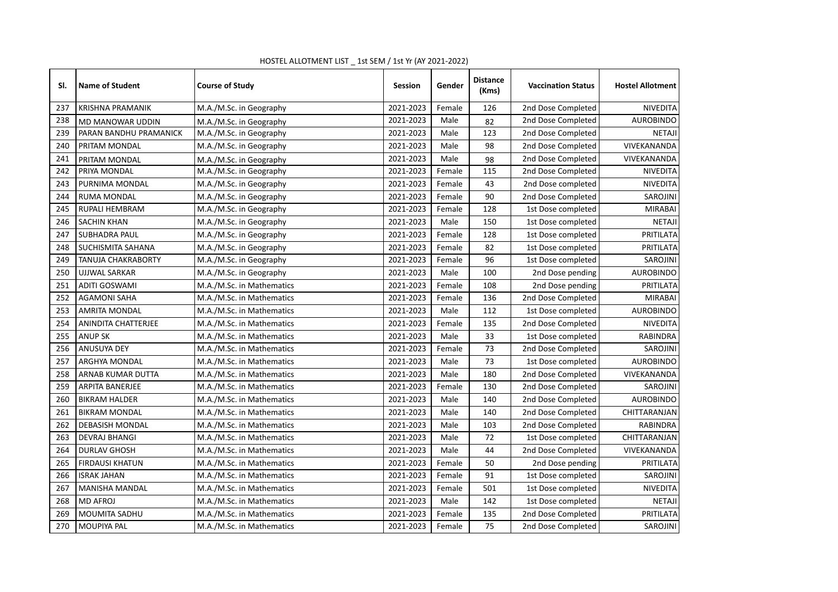| SI. | <b>Name of Student</b>    | <b>Course of Study</b>    | <b>Session</b> | Gender | <b>Distance</b><br>(Kms) | <b>Vaccination Status</b> | <b>Hostel Allotment</b> |
|-----|---------------------------|---------------------------|----------------|--------|--------------------------|---------------------------|-------------------------|
| 237 | <b>KRISHNA PRAMANIK</b>   | M.A./M.Sc. in Geography   | 2021-2023      | Female | 126                      | 2nd Dose Completed        | <b>NIVEDITA</b>         |
| 238 | <b>MD MANOWAR UDDIN</b>   | M.A./M.Sc. in Geography   | 2021-2023      | Male   | 82                       | 2nd Dose Completed        | <b>AUROBINDO</b>        |
| 239 | PARAN BANDHU PRAMANICK    | M.A./M.Sc. in Geography   | 2021-2023      | Male   | 123                      | 2nd Dose Completed        | <b>NETAJI</b>           |
| 240 | PRITAM MONDAL             | M.A./M.Sc. in Geography   | 2021-2023      | Male   | 98                       | 2nd Dose Completed        | VIVEKANANDA             |
| 241 | PRITAM MONDAL             | M.A./M.Sc. in Geography   | 2021-2023      | Male   | 98                       | 2nd Dose Completed        | VIVEKANANDA             |
| 242 | PRIYA MONDAL              | M.A./M.Sc. in Geography   | 2021-2023      | Female | 115                      | 2nd Dose Completed        | <b>NIVEDITA</b>         |
| 243 | PURNIMA MONDAL            | M.A./M.Sc. in Geography   | 2021-2023      | Female | 43                       | 2nd Dose completed        | <b>NIVEDITA</b>         |
| 244 | <b>RUMA MONDAL</b>        | M.A./M.Sc. in Geography   | 2021-2023      | Female | 90                       | 2nd Dose Completed        | SAROJINI                |
| 245 | <b>RUPALI HEMBRAM</b>     | M.A./M.Sc. in Geography   | 2021-2023      | Female | 128                      | 1st Dose completed        | <b>MIRABAI</b>          |
| 246 | <b>SACHIN KHAN</b>        | M.A./M.Sc. in Geography   | 2021-2023      | Male   | 150                      | 1st Dose completed        | <b>NETAJI</b>           |
| 247 | <b>SUBHADRA PAUL</b>      | M.A./M.Sc. in Geography   | 2021-2023      | Female | 128                      | 1st Dose completed        | PRITILATA               |
| 248 | SUCHISMITA SAHANA         | M.A./M.Sc. in Geography   | 2021-2023      | Female | 82                       | 1st Dose completed        | PRITILATA               |
| 249 | <b>TANUJA CHAKRABORTY</b> | M.A./M.Sc. in Geography   | 2021-2023      | Female | 96                       | 1st Dose completed        | SAROJINI                |
| 250 | <b>UJJWAL SARKAR</b>      | M.A./M.Sc. in Geography   | 2021-2023      | Male   | 100                      | 2nd Dose pending          | <b>AUROBINDO</b>        |
| 251 | <b>ADITI GOSWAMI</b>      | M.A./M.Sc. in Mathematics | 2021-2023      | Female | 108                      | 2nd Dose pending          | PRITILATA               |
| 252 | <b>AGAMONI SAHA</b>       | M.A./M.Sc. in Mathematics | 2021-2023      | Female | 136                      | 2nd Dose Completed        | <b>MIRABAI</b>          |
| 253 | <b>AMRITA MONDAL</b>      | M.A./M.Sc. in Mathematics | 2021-2023      | Male   | 112                      | 1st Dose completed        | <b>AUROBINDO</b>        |
| 254 | ANINDITA CHATTERJEE       | M.A./M.Sc. in Mathematics | 2021-2023      | Female | 135                      | 2nd Dose Completed        | <b>NIVEDITA</b>         |
| 255 | <b>ANUP SK</b>            | M.A./M.Sc. in Mathematics | 2021-2023      | Male   | 33                       | 1st Dose completed        | RABINDRA                |
| 256 | ANUSUYA DEY               | M.A./M.Sc. in Mathematics | 2021-2023      | Female | 73                       | 2nd Dose Completed        | SAROJINI                |
| 257 | ARGHYA MONDAL             | M.A./M.Sc. in Mathematics | 2021-2023      | Male   | 73                       | 1st Dose completed        | <b>AUROBINDO</b>        |
| 258 | ARNAB KUMAR DUTTA         | M.A./M.Sc. in Mathematics | 2021-2023      | Male   | 180                      | 2nd Dose Completed        | VIVEKANANDA             |
| 259 | <b>ARPITA BANERJEE</b>    | M.A./M.Sc. in Mathematics | 2021-2023      | Female | 130                      | 2nd Dose Completed        | SAROJINI                |
| 260 | <b>BIKRAM HALDER</b>      | M.A./M.Sc. in Mathematics | 2021-2023      | Male   | 140                      | 2nd Dose Completed        | <b>AUROBINDO</b>        |
| 261 | <b>BIKRAM MONDAL</b>      | M.A./M.Sc. in Mathematics | 2021-2023      | Male   | 140                      | 2nd Dose Completed        | CHITTARANJAN            |
| 262 | <b>DEBASISH MONDAL</b>    | M.A./M.Sc. in Mathematics | 2021-2023      | Male   | 103                      | 2nd Dose Completed        | RABINDRA                |
| 263 | <b>DEVRAJ BHANGI</b>      | M.A./M.Sc. in Mathematics | 2021-2023      | Male   | 72                       | 1st Dose completed        | CHITTARANJAN            |
| 264 | <b>DURLAV GHOSH</b>       | M.A./M.Sc. in Mathematics | 2021-2023      | Male   | 44                       | 2nd Dose Completed        | VIVEKANANDA             |
| 265 | <b>FIRDAUSI KHATUN</b>    | M.A./M.Sc. in Mathematics | 2021-2023      | Female | 50                       | 2nd Dose pending          | PRITILATA               |
| 266 | <b>ISRAK JAHAN</b>        | M.A./M.Sc. in Mathematics | 2021-2023      | Female | 91                       | 1st Dose completed        | SAROJINI                |
| 267 | <b>MANISHA MANDAL</b>     | M.A./M.Sc. in Mathematics | 2021-2023      | Female | 501                      | 1st Dose completed        | <b>NIVEDITA</b>         |
| 268 | <b>MD AFROJ</b>           | M.A./M.Sc. in Mathematics | 2021-2023      | Male   | 142                      | 1st Dose completed        | <b>NETAJI</b>           |
| 269 | MOUMITA SADHU             | M.A./M.Sc. in Mathematics | 2021-2023      | Female | 135                      | 2nd Dose Completed        | PRITILATA               |
| 270 | MOUPIYA PAL               | M.A./M.Sc. in Mathematics | 2021-2023      | Female | 75                       | 2nd Dose Completed        | SAROJINI                |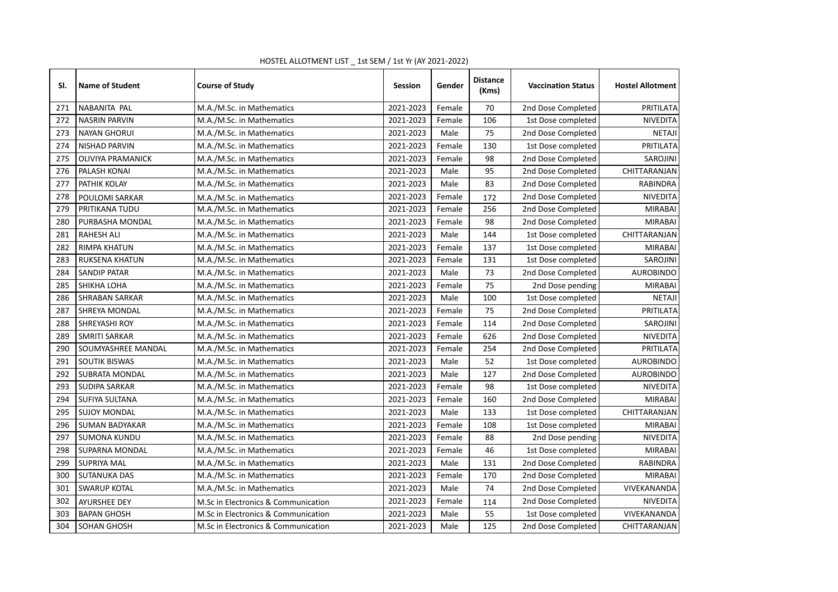| SI. | <b>Name of Student</b>   | <b>Course of Study</b>              | Session   | Gender | <b>Distance</b><br>(Kms) | <b>Vaccination Status</b> | <b>Hostel Allotment</b> |
|-----|--------------------------|-------------------------------------|-----------|--------|--------------------------|---------------------------|-------------------------|
| 271 | NABANITA PAL             | M.A./M.Sc. in Mathematics           | 2021-2023 | Female | 70                       | 2nd Dose Completed        | PRITILATA               |
| 272 | <b>NASRIN PARVIN</b>     | M.A./M.Sc. in Mathematics           | 2021-2023 | Female | 106                      | 1st Dose completed        | <b>NIVEDITA</b>         |
| 273 | <b>NAYAN GHORUI</b>      | M.A./M.Sc. in Mathematics           | 2021-2023 | Male   | 75                       | 2nd Dose Completed        | <b>NETAJI</b>           |
| 274 | <b>NISHAD PARVIN</b>     | M.A./M.Sc. in Mathematics           | 2021-2023 | Female | 130                      | 1st Dose completed        | PRITILATA               |
| 275 | <b>OLIVIYA PRAMANICK</b> | M.A./M.Sc. in Mathematics           | 2021-2023 | Female | 98                       | 2nd Dose Completed        | SAROJINI                |
| 276 | PALASH KONAI             | M.A./M.Sc. in Mathematics           | 2021-2023 | Male   | 95                       | 2nd Dose Completed        | CHITTARANJAN            |
| 277 | PATHIK KOLAY             | M.A./M.Sc. in Mathematics           | 2021-2023 | Male   | 83                       | 2nd Dose Completed        | RABINDRA                |
| 278 | POULOMI SARKAR           | M.A./M.Sc. in Mathematics           | 2021-2023 | Female | 172                      | 2nd Dose Completed        | <b>NIVEDITA</b>         |
| 279 | PRITIKANA TUDU           | M.A./M.Sc. in Mathematics           | 2021-2023 | Female | 256                      | 2nd Dose Completed        | <b>MIRABAI</b>          |
| 280 | PURBASHA MONDAL          | M.A./M.Sc. in Mathematics           | 2021-2023 | Female | 98                       | 2nd Dose Completed        | <b>MIRABAI</b>          |
| 281 | <b>RAHESH ALI</b>        | M.A./M.Sc. in Mathematics           | 2021-2023 | Male   | 144                      | 1st Dose completed        | CHITTARANJAN            |
| 282 | <b>RIMPA KHATUN</b>      | M.A./M.Sc. in Mathematics           | 2021-2023 | Female | 137                      | 1st Dose completed        | <b>MIRABAI</b>          |
| 283 | RUKSENA KHATUN           | M.A./M.Sc. in Mathematics           | 2021-2023 | Female | 131                      | 1st Dose completed        | SAROJINI                |
| 284 | <b>SANDIP PATAR</b>      | M.A./M.Sc. in Mathematics           | 2021-2023 | Male   | 73                       | 2nd Dose Completed        | <b>AUROBINDO</b>        |
| 285 | SHIKHA LOHA              | M.A./M.Sc. in Mathematics           | 2021-2023 | Female | 75                       | 2nd Dose pending          | <b>MIRABAI</b>          |
| 286 | <b>SHRABAN SARKAR</b>    | M.A./M.Sc. in Mathematics           | 2021-2023 | Male   | 100                      | 1st Dose completed        | <b>NETAJI</b>           |
| 287 | SHREYA MONDAL            | M.A./M.Sc. in Mathematics           | 2021-2023 | Female | 75                       | 2nd Dose Completed        | PRITILATA               |
| 288 | SHREYASHI ROY            | M.A./M.Sc. in Mathematics           | 2021-2023 | Female | 114                      | 2nd Dose Completed        | SAROJINI                |
| 289 | <b>SMRITI SARKAR</b>     | M.A./M.Sc. in Mathematics           | 2021-2023 | Female | 626                      | 2nd Dose Completed        | <b>NIVEDITA</b>         |
| 290 | SOUMYASHREE MANDAL       | M.A./M.Sc. in Mathematics           | 2021-2023 | Female | 254                      | 2nd Dose Completed        | PRITILATA               |
| 291 | <b>SOUTIK BISWAS</b>     | M.A./M.Sc. in Mathematics           | 2021-2023 | Male   | 52                       | 1st Dose completed        | <b>AUROBINDO</b>        |
| 292 | SUBRATA MONDAL           | M.A./M.Sc. in Mathematics           | 2021-2023 | Male   | 127                      | 2nd Dose Completed        | <b>AUROBINDO</b>        |
| 293 | <b>SUDIPA SARKAR</b>     | M.A./M.Sc. in Mathematics           | 2021-2023 | Female | 98                       | 1st Dose completed        | NIVEDITA                |
| 294 | SUFIYA SULTANA           | M.A./M.Sc. in Mathematics           | 2021-2023 | Female | 160                      | 2nd Dose Completed        | <b>MIRABAI</b>          |
| 295 | <b>SUJOY MONDAL</b>      | M.A./M.Sc. in Mathematics           | 2021-2023 | Male   | 133                      | 1st Dose completed        | CHITTARANJAN            |
| 296 | <b>SUMAN BADYAKAR</b>    | M.A./M.Sc. in Mathematics           | 2021-2023 | Female | 108                      | 1st Dose completed        | <b>MIRABAI</b>          |
| 297 | <b>SUMONA KUNDU</b>      | M.A./M.Sc. in Mathematics           | 2021-2023 | Female | 88                       | 2nd Dose pending          | NIVEDITA                |
| 298 | SUPARNA MONDAL           | M.A./M.Sc. in Mathematics           | 2021-2023 | Female | 46                       | 1st Dose completed        | <b>MIRABAI</b>          |
| 299 | <b>SUPRIYA MAL</b>       | M.A./M.Sc. in Mathematics           | 2021-2023 | Male   | 131                      | 2nd Dose Completed        | <b>RABINDRA</b>         |
| 300 | <b>SUTANUKA DAS</b>      | M.A./M.Sc. in Mathematics           | 2021-2023 | Female | 170                      | 2nd Dose Completed        | <b>MIRABAI</b>          |
| 301 | <b>SWARUP KOTAL</b>      | M.A./M.Sc. in Mathematics           | 2021-2023 | Male   | 74                       | 2nd Dose Completed        | VIVEKANANDA             |
| 302 | <b>AYURSHEE DEY</b>      | M.Sc in Electronics & Communication | 2021-2023 | Female | 114                      | 2nd Dose Completed        | <b>NIVEDITA</b>         |
| 303 | <b>BAPAN GHOSH</b>       | M.Sc in Electronics & Communication | 2021-2023 | Male   | 55                       | 1st Dose completed        | VIVEKANANDA             |
| 304 | SOHAN GHOSH              | M.Sc in Electronics & Communication | 2021-2023 | Male   | 125                      | 2nd Dose Completed        | CHITTARANJAN            |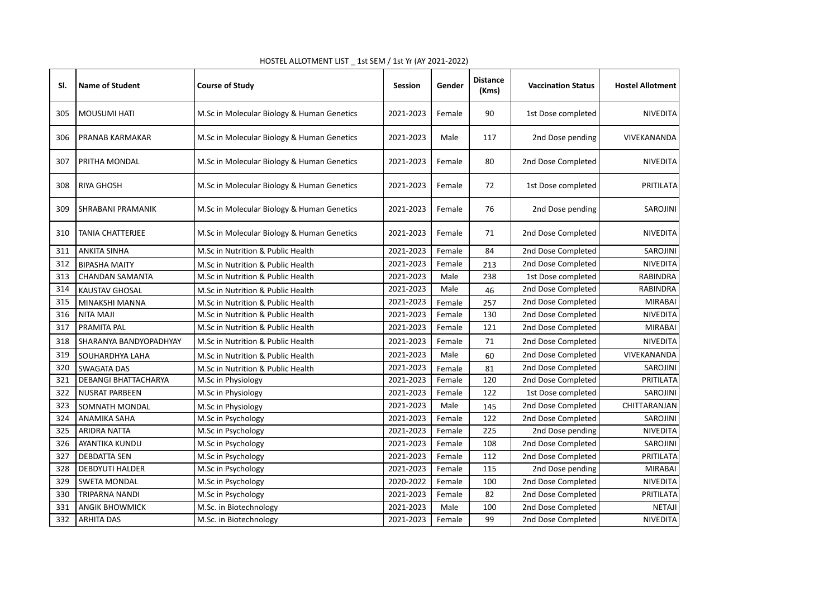| SI. | <b>Name of Student</b>  | <b>Course of Study</b>                     | <b>Session</b> | Gender | <b>Distance</b><br>(Kms) | <b>Vaccination Status</b> | <b>Hostel Allotment</b> |
|-----|-------------------------|--------------------------------------------|----------------|--------|--------------------------|---------------------------|-------------------------|
| 305 | <b>MOUSUMI HATI</b>     | M.Sc in Molecular Biology & Human Genetics | 2021-2023      | Female | 90                       | 1st Dose completed        | <b>NIVEDITA</b>         |
| 306 | PRANAB KARMAKAR         | M.Sc in Molecular Biology & Human Genetics | 2021-2023      | Male   | 117                      | 2nd Dose pending          | VIVEKANANDA             |
| 307 | PRITHA MONDAL           | M.Sc in Molecular Biology & Human Genetics | 2021-2023      | Female | 80                       | 2nd Dose Completed        | <b>NIVEDITA</b>         |
| 308 | RIYA GHOSH              | M.Sc in Molecular Biology & Human Genetics | 2021-2023      | Female | 72                       | 1st Dose completed        | PRITILATA               |
| 309 | SHRABANI PRAMANIK       | M.Sc in Molecular Biology & Human Genetics | 2021-2023      | Female | 76                       | 2nd Dose pending          | SAROJINI                |
| 310 | <b>TANIA CHATTERJEE</b> | M.Sc in Molecular Biology & Human Genetics | 2021-2023      | Female | 71                       | 2nd Dose Completed        | <b>NIVEDITA</b>         |
| 311 | <b>ANKITA SINHA</b>     | M.Sc in Nutrition & Public Health          | 2021-2023      | Female | 84                       | 2nd Dose Completed        | SAROJINI                |
| 312 | <b>BIPASHA MAITY</b>    | M.Sc in Nutrition & Public Health          | 2021-2023      | Female | 213                      | 2nd Dose Completed        | <b>NIVEDITA</b>         |
| 313 | <b>CHANDAN SAMANTA</b>  | M.Sc in Nutrition & Public Health          | 2021-2023      | Male   | 238                      | 1st Dose completed        | <b>RABINDRA</b>         |
| 314 | <b>KAUSTAV GHOSAL</b>   | M.Sc in Nutrition & Public Health          | 2021-2023      | Male   | 46                       | 2nd Dose Completed        | <b>RABINDRA</b>         |
| 315 | MINAKSHI MANNA          | M.Sc in Nutrition & Public Health          | 2021-2023      | Female | 257                      | 2nd Dose Completed        | <b>MIRABAI</b>          |
| 316 | <b>NITA MAJI</b>        | M.Sc in Nutrition & Public Health          | 2021-2023      | Female | 130                      | 2nd Dose Completed        | <b>NIVEDITA</b>         |
| 317 | PRAMITA PAL             | M.Sc in Nutrition & Public Health          | 2021-2023      | Female | 121                      | 2nd Dose Completed        | <b>MIRABAI</b>          |
| 318 | SHARANYA BANDYOPADHYAY  | M.Sc in Nutrition & Public Health          | 2021-2023      | Female | 71                       | 2nd Dose Completed        | <b>NIVEDITA</b>         |
| 319 | SOUHARDHYA LAHA         | M.Sc in Nutrition & Public Health          | 2021-2023      | Male   | 60                       | 2nd Dose Completed        | VIVEKANANDA             |
| 320 | SWAGATA DAS             | M.Sc in Nutrition & Public Health          | 2021-2023      | Female | 81                       | 2nd Dose Completed        | SAROJINI                |
| 321 | DEBANGI BHATTACHARYA    | M.Sc in Physiology                         | 2021-2023      | Female | 120                      | 2nd Dose Completed        | PRITILATA               |
| 322 | <b>NUSRAT PARBEEN</b>   | M.Sc in Physiology                         | 2021-2023      | Female | 122                      | 1st Dose completed        | SAROJINI                |
| 323 | SOMNATH MONDAL          | M.Sc in Physiology                         | 2021-2023      | Male   | 145                      | 2nd Dose Completed        | CHITTARANJAN            |
| 324 | <b>ANAMIKA SAHA</b>     | M.Sc in Psychology                         | 2021-2023      | Female | 122                      | 2nd Dose Completed        | SAROJINI                |
| 325 | <b>ARIDRA NATTA</b>     | M.Sc in Psychology                         | 2021-2023      | Female | 225                      | 2nd Dose pending          | NIVEDITA                |
| 326 | AYANTIKA KUNDU          | M.Sc in Psychology                         | 2021-2023      | Female | 108                      | 2nd Dose Completed        | SAROJINI                |
| 327 | <b>DEBDATTA SEN</b>     | M.Sc in Psychology                         | 2021-2023      | Female | 112                      | 2nd Dose Completed        | PRITILATA               |
| 328 | <b>DEBDYUTI HALDER</b>  | M.Sc in Psychology                         | 2021-2023      | Female | 115                      | 2nd Dose pending          | <b>MIRABAI</b>          |
| 329 | <b>SWETA MONDAL</b>     | M.Sc in Psychology                         | 2020-2022      | Female | 100                      | 2nd Dose Completed        | <b>NIVEDITA</b>         |
| 330 | TRIPARNA NANDI          | M.Sc in Psychology                         | 2021-2023      | Female | 82                       | 2nd Dose Completed        | PRITILATA               |
| 331 | <b>ANGIK BHOWMICK</b>   | M.Sc. in Biotechnology                     | 2021-2023      | Male   | 100                      | 2nd Dose Completed        | <b>NETAJI</b>           |
| 332 | <b>ARHITA DAS</b>       | M.Sc. in Biotechnology                     | 2021-2023      | Female | 99                       | 2nd Dose Completed        | NIVEDITA                |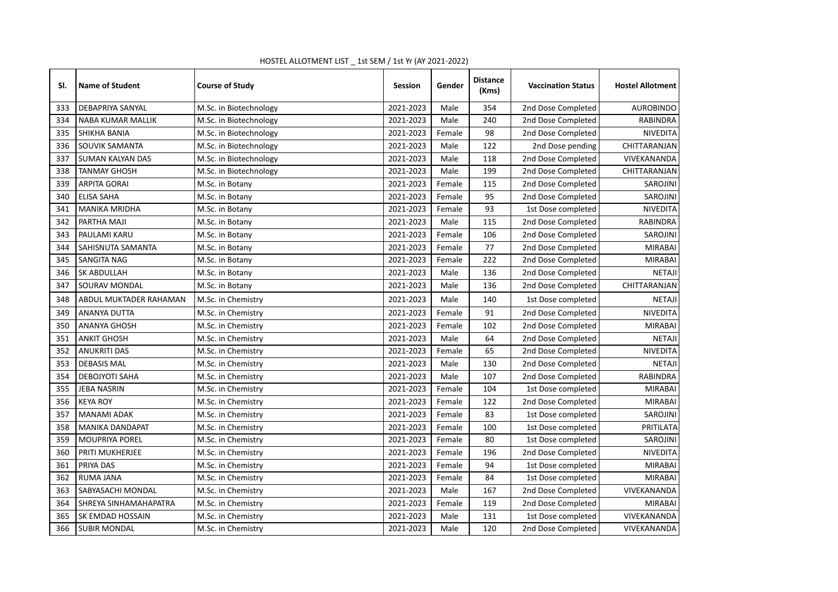| SI. | <b>Name of Student</b>   | <b>Course of Study</b> | <b>Session</b> | Gender | <b>Distance</b><br>(Kms) | <b>Vaccination Status</b> | <b>Hostel Allotment</b> |
|-----|--------------------------|------------------------|----------------|--------|--------------------------|---------------------------|-------------------------|
| 333 | DEBAPRIYA SANYAL         | M.Sc. in Biotechnology | 2021-2023      | Male   | 354                      | 2nd Dose Completed        | <b>AUROBINDO</b>        |
| 334 | <b>NABA KUMAR MALLIK</b> | M.Sc. in Biotechnology | 2021-2023      | Male   | 240                      | 2nd Dose Completed        | <b>RABINDRA</b>         |
| 335 | SHIKHA BANIA             | M.Sc. in Biotechnology | 2021-2023      | Female | 98                       | 2nd Dose Completed        | <b>NIVEDITA</b>         |
| 336 | SOUVIK SAMANTA           | M.Sc. in Biotechnology | 2021-2023      | Male   | 122                      | 2nd Dose pending          | CHITTARANJAN            |
| 337 | <b>SUMAN KALYAN DAS</b>  | M.Sc. in Biotechnology | 2021-2023      | Male   | 118                      | 2nd Dose Completed        | VIVEKANANDA             |
| 338 | <b>TANMAY GHOSH</b>      | M.Sc. in Biotechnology | 2021-2023      | Male   | 199                      | 2nd Dose Completed        | CHITTARANJAN            |
| 339 | <b>ARPITA GORAI</b>      | M.Sc. in Botany        | 2021-2023      | Female | 115                      | 2nd Dose Completed        | SAROJINI                |
| 340 | <b>ELISA SAHA</b>        | M.Sc. in Botany        | 2021-2023      | Female | 95                       | 2nd Dose Completed        | SAROJINI                |
| 341 | <b>MANIKA MRIDHA</b>     | M.Sc. in Botany        | 2021-2023      | Female | 93                       | 1st Dose completed        | <b>NIVEDITA</b>         |
| 342 | PARTHA MAJI              | M.Sc. in Botany        | 2021-2023      | Male   | 115                      | 2nd Dose Completed        | RABINDRA                |
| 343 | PAULAMI KARU             | M.Sc. in Botany        | 2021-2023      | Female | 106                      | 2nd Dose Completed        | <b>SAROJINI</b>         |
| 344 | SAHISNUTA SAMANTA        | M.Sc. in Botany        | 2021-2023      | Female | 77                       | 2nd Dose Completed        | <b>MIRABAI</b>          |
| 345 | SANGITA NAG              | M.Sc. in Botany        | 2021-2023      | Female | 222                      | 2nd Dose Completed        | <b>MIRABAI</b>          |
| 346 | SK ABDULLAH              | M.Sc. in Botany        | 2021-2023      | Male   | 136                      | 2nd Dose Completed        | <b>NETAJI</b>           |
| 347 | SOURAV MONDAL            | M.Sc. in Botany        | 2021-2023      | Male   | 136                      | 2nd Dose Completed        | CHITTARANJAN            |
| 348 | ABDUL MUKTADER RAHAMAN   | M.Sc. in Chemistry     | 2021-2023      | Male   | 140                      | 1st Dose completed        | <b>NETAJI</b>           |
| 349 | <b>ANANYA DUTTA</b>      | M.Sc. in Chemistry     | 2021-2023      | Female | 91                       | 2nd Dose Completed        | NIVEDITA                |
| 350 | <b>ANANYA GHOSH</b>      | M.Sc. in Chemistry     | 2021-2023      | Female | 102                      | 2nd Dose Completed        | <b>MIRABAI</b>          |
| 351 | <b>ANKIT GHOSH</b>       | M.Sc. in Chemistry     | 2021-2023      | Male   | 64                       | 2nd Dose Completed        | <b>NETAJI</b>           |
| 352 | <b>ANUKRITI DAS</b>      | M.Sc. in Chemistry     | 2021-2023      | Female | 65                       | 2nd Dose Completed        | NIVEDITA                |
| 353 | <b>DEBASIS MAL</b>       | M.Sc. in Chemistry     | 2021-2023      | Male   | 130                      | 2nd Dose Completed        | <b>NETAJI</b>           |
| 354 | DEBOJYOTI SAHA           | M.Sc. in Chemistry     | 2021-2023      | Male   | 107                      | 2nd Dose Completed        | RABINDRA                |
| 355 | <b>JEBA NASRIN</b>       | M.Sc. in Chemistry     | 2021-2023      | Female | 104                      | 1st Dose completed        | <b>MIRABAI</b>          |
| 356 | <b>KEYA ROY</b>          | M.Sc. in Chemistry     | 2021-2023      | Female | 122                      | 2nd Dose Completed        | <b>MIRABAI</b>          |
| 357 | <b>MANAMI ADAK</b>       | M.Sc. in Chemistry     | 2021-2023      | Female | 83                       | 1st Dose completed        | SAROJINI                |
| 358 | <b>MANIKA DANDAPAT</b>   | M.Sc. in Chemistry     | 2021-2023      | Female | 100                      | 1st Dose completed        | PRITILATA               |
| 359 | <b>MOUPRIYA POREL</b>    | M.Sc. in Chemistry     | 2021-2023      | Female | 80                       | 1st Dose completed        | <b>SAROJINI</b>         |
| 360 | PRITI MUKHERJEE          | M.Sc. in Chemistry     | 2021-2023      | Female | 196                      | 2nd Dose Completed        | <b>NIVEDITA</b>         |
| 361 | PRIYA DAS                | M.Sc. in Chemistry     | 2021-2023      | Female | 94                       | 1st Dose completed        | <b>MIRABAI</b>          |
| 362 | <b>RUMA JANA</b>         | M.Sc. in Chemistry     | 2021-2023      | Female | 84                       | 1st Dose completed        | <b>MIRABAI</b>          |
| 363 | SABYASACHI MONDAL        | M.Sc. in Chemistry     | 2021-2023      | Male   | 167                      | 2nd Dose Completed        | VIVEKANANDA             |
| 364 | SHREYA SINHAMAHAPATRA    | M.Sc. in Chemistry     | 2021-2023      | Female | 119                      | 2nd Dose Completed        | <b>MIRABAI</b>          |
| 365 | SK EMDAD HOSSAIN         | M.Sc. in Chemistry     | 2021-2023      | Male   | 131                      | 1st Dose completed        | VIVEKANANDA             |
| 366 | <b>SUBIR MONDAL</b>      | M.Sc. in Chemistry     | 2021-2023      | Male   | 120                      | 2nd Dose Completed        | VIVEKANANDA             |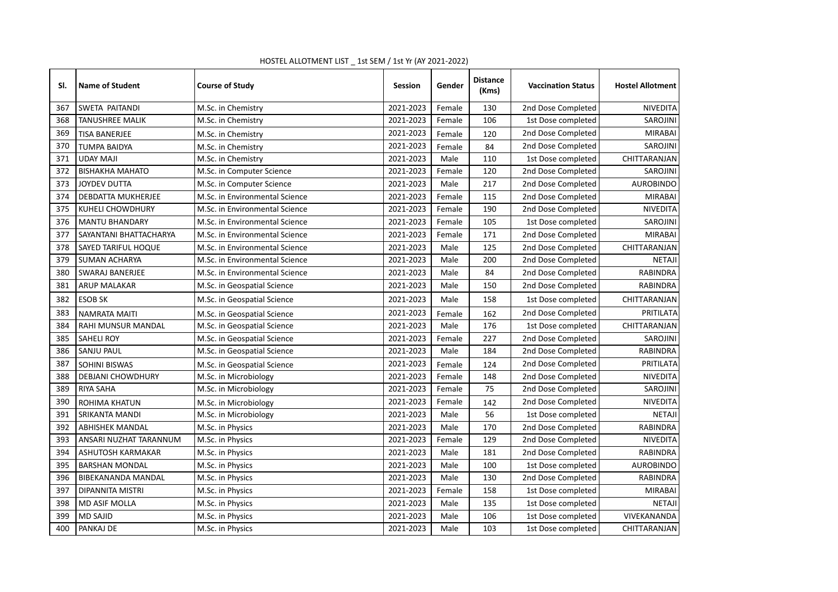| SI. | <b>Name of Student</b>    | <b>Course of Study</b>         | <b>Session</b> | Gender | <b>Distance</b><br>(Kms) | <b>Vaccination Status</b> | <b>Hostel Allotment</b> |
|-----|---------------------------|--------------------------------|----------------|--------|--------------------------|---------------------------|-------------------------|
| 367 | SWETA PAITANDI            | M.Sc. in Chemistry             | 2021-2023      | Female | 130                      | 2nd Dose Completed        | <b>NIVEDITA</b>         |
| 368 | <b>TANUSHREE MALIK</b>    | M.Sc. in Chemistry             | 2021-2023      | Female | 106                      | 1st Dose completed        | <b>SAROJINI</b>         |
| 369 | <b>TISA BANERJEE</b>      | M.Sc. in Chemistry             | 2021-2023      | Female | 120                      | 2nd Dose Completed        | <b>MIRABAI</b>          |
| 370 | <b>TUMPA BAIDYA</b>       | M.Sc. in Chemistry             | 2021-2023      | Female | 84                       | 2nd Dose Completed        | SAROJINI                |
| 371 | <b>UDAY MAJI</b>          | M.Sc. in Chemistry             | 2021-2023      | Male   | 110                      | 1st Dose completed        | CHITTARANJAN            |
| 372 | <b>BISHAKHA MAHATO</b>    | M.Sc. in Computer Science      | 2021-2023      | Female | 120                      | 2nd Dose Completed        | SAROJINI                |
| 373 | <b>JOYDEV DUTTA</b>       | M.Sc. in Computer Science      | 2021-2023      | Male   | 217                      | 2nd Dose Completed        | <b>AUROBINDO</b>        |
| 374 | DEBDATTA MUKHERJEE        | M.Sc. in Environmental Science | 2021-2023      | Female | 115                      | 2nd Dose Completed        | <b>MIRABAI</b>          |
| 375 | KUHELI CHOWDHURY          | M.Sc. in Environmental Science | 2021-2023      | Female | 190                      | 2nd Dose Completed        | <b>NIVEDITA</b>         |
| 376 | <b>MANTU BHANDARY</b>     | M.Sc. in Environmental Science | 2021-2023      | Female | 105                      | 1st Dose completed        | <b>SAROJINI</b>         |
| 377 | SAYANTANI BHATTACHARYA    | M.Sc. in Environmental Science | 2021-2023      | Female | 171                      | 2nd Dose Completed        | <b>MIRABAI</b>          |
| 378 | SAYED TARIFUL HOQUE       | M.Sc. in Environmental Science | 2021-2023      | Male   | 125                      | 2nd Dose Completed        | CHITTARANJAN            |
| 379 | <b>SUMAN ACHARYA</b>      | M.Sc. in Environmental Science | 2021-2023      | Male   | 200                      | 2nd Dose Completed        | <b>NETAJI</b>           |
| 380 | <b>SWARAJ BANERJEE</b>    | M.Sc. in Environmental Science | 2021-2023      | Male   | 84                       | 2nd Dose Completed        | <b>RABINDRA</b>         |
| 381 | <b>ARUP MALAKAR</b>       | M.Sc. in Geospatial Science    | 2021-2023      | Male   | 150                      | 2nd Dose Completed        | RABINDRA                |
| 382 | <b>ESOB SK</b>            | M.Sc. in Geospatial Science    | 2021-2023      | Male   | 158                      | 1st Dose completed        | CHITTARANJAN            |
| 383 | <b>NAMRATA MAITI</b>      | M.Sc. in Geospatial Science    | 2021-2023      | Female | 162                      | 2nd Dose Completed        | PRITILATA               |
| 384 | RAHI MUNSUR MANDAL        | M.Sc. in Geospatial Science    | 2021-2023      | Male   | 176                      | 1st Dose completed        | CHITTARANJAN            |
| 385 | <b>SAHELI ROY</b>         | M.Sc. in Geospatial Science    | 2021-2023      | Female | 227                      | 2nd Dose Completed        | SAROJINI                |
| 386 | SANJU PAUL                | M.Sc. in Geospatial Science    | 2021-2023      | Male   | 184                      | 2nd Dose Completed        | RABINDRA                |
| 387 | <b>SOHINI BISWAS</b>      | M.Sc. in Geospatial Science    | 2021-2023      | Female | 124                      | 2nd Dose Completed        | PRITILATA               |
| 388 | <b>DEBJANI CHOWDHURY</b>  | M.Sc. in Microbiology          | 2021-2023      | Female | 148                      | 2nd Dose Completed        | <b>NIVEDITA</b>         |
| 389 | <b>RIYA SAHA</b>          | M.Sc. in Microbiology          | 2021-2023      | Female | 75                       | 2nd Dose Completed        | SAROJINI                |
| 390 | ROHIMA KHATUN             | M.Sc. in Microbiology          | 2021-2023      | Female | 142                      | 2nd Dose Completed        | <b>NIVEDITA</b>         |
| 391 | SRIKANTA MANDI            | M.Sc. in Microbiology          | 2021-2023      | Male   | 56                       | 1st Dose completed        | <b>NETAJI</b>           |
| 392 | <b>ABHISHEK MANDAL</b>    | M.Sc. in Physics               | 2021-2023      | Male   | 170                      | 2nd Dose Completed        | <b>RABINDRA</b>         |
| 393 | ANSARI NUZHAT TARANNUM    | M.Sc. in Physics               | 2021-2023      | Female | 129                      | 2nd Dose Completed        | <b>NIVEDITA</b>         |
| 394 | ASHUTOSH KARMAKAR         | M.Sc. in Physics               | 2021-2023      | Male   | 181                      | 2nd Dose Completed        | <b>RABINDRA</b>         |
| 395 | <b>BARSHAN MONDAL</b>     | M.Sc. in Physics               | 2021-2023      | Male   | 100                      | 1st Dose completed        | <b>AUROBINDO</b>        |
| 396 | <b>BIBEKANANDA MANDAL</b> | M.Sc. in Physics               | 2021-2023      | Male   | 130                      | 2nd Dose Completed        | <b>RABINDRA</b>         |
| 397 | <b>DIPANNITA MISTRI</b>   | M.Sc. in Physics               | 2021-2023      | Female | 158                      | 1st Dose completed        | <b>MIRABAI</b>          |
| 398 | <b>MD ASIF MOLLA</b>      | M.Sc. in Physics               | 2021-2023      | Male   | 135                      | 1st Dose completed        | <b>NETAJI</b>           |
| 399 | <b>MD SAJID</b>           | M.Sc. in Physics               | 2021-2023      | Male   | 106                      | 1st Dose completed        | VIVEKANANDA             |
| 400 | PANKAJ DE                 | M.Sc. in Physics               | 2021-2023      | Male   | 103                      | 1st Dose completed        | CHITTARANJAN            |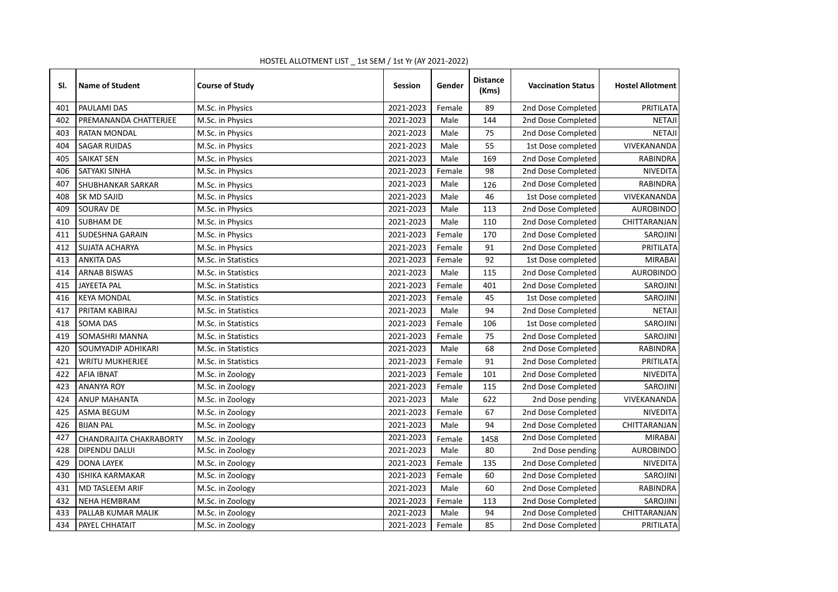| SI. | <b>Name of Student</b>    | <b>Course of Study</b> | <b>Session</b> | Gender | <b>Distance</b><br>(Kms) | <b>Vaccination Status</b> | <b>Hostel Allotment</b> |
|-----|---------------------------|------------------------|----------------|--------|--------------------------|---------------------------|-------------------------|
| 401 | PAULAMI DAS               | M.Sc. in Physics       | 2021-2023      | Female | 89                       | 2nd Dose Completed        | PRITILATA               |
| 402 | PREMANANDA CHATTERJEE     | M.Sc. in Physics       | 2021-2023      | Male   | 144                      | 2nd Dose Completed        | <b>NETAJI</b>           |
| 403 | RATAN MONDAL              | M.Sc. in Physics       | 2021-2023      | Male   | 75                       | 2nd Dose Completed        | <b>NETAJI</b>           |
| 404 | <b>SAGAR RUIDAS</b>       | M.Sc. in Physics       | 2021-2023      | Male   | 55                       | 1st Dose completed        | VIVEKANANDA             |
| 405 | <b>SAIKAT SEN</b>         | M.Sc. in Physics       | 2021-2023      | Male   | 169                      | 2nd Dose Completed        | RABINDRA                |
| 406 | SATYAKI SINHA             | M.Sc. in Physics       | 2021-2023      | Female | 98                       | 2nd Dose Completed        | <b>NIVEDITA</b>         |
| 407 | SHUBHANKAR SARKAR         | M.Sc. in Physics       | 2021-2023      | Male   | 126                      | 2nd Dose Completed        | <b>RABINDRA</b>         |
| 408 | SK MD SAJID               | M.Sc. in Physics       | 2021-2023      | Male   | 46                       | 1st Dose completed        | VIVEKANANDA             |
| 409 | SOURAV DE                 | M.Sc. in Physics       | 2021-2023      | Male   | 113                      | 2nd Dose Completed        | <b>AUROBINDO</b>        |
| 410 | <b>SUBHAM DE</b>          | M.Sc. in Physics       | 2021-2023      | Male   | 110                      | 2nd Dose Completed        | CHITTARANJAN            |
| 411 | SUDESHNA GARAIN           | M.Sc. in Physics       | 2021-2023      | Female | 170                      | 2nd Dose Completed        | SAROJINI                |
| 412 | SUJATA ACHARYA            | M.Sc. in Physics       | 2021-2023      | Female | 91                       | 2nd Dose Completed        | PRITILATA               |
| 413 | <b>ANKITA DAS</b>         | M.Sc. in Statistics    | 2021-2023      | Female | 92                       | 1st Dose completed        | <b>MIRABAI</b>          |
| 414 | <b>ARNAB BISWAS</b>       | M.Sc. in Statistics    | 2021-2023      | Male   | 115                      | 2nd Dose Completed        | <b>AUROBINDO</b>        |
| 415 | <b>JAYEETA PAL</b>        | M.Sc. in Statistics    | 2021-2023      | Female | 401                      | 2nd Dose Completed        | SAROJINI                |
| 416 | <b>KEYA MONDAL</b>        | M.Sc. in Statistics    | 2021-2023      | Female | 45                       | 1st Dose completed        | SAROJINI                |
| 417 | PRITAM KABIRAJ            | M.Sc. in Statistics    | 2021-2023      | Male   | 94                       | 2nd Dose Completed        | <b>NETAJI</b>           |
| 418 | <b>SOMA DAS</b>           | M.Sc. in Statistics    | 2021-2023      | Female | 106                      | 1st Dose completed        | SAROJINI                |
| 419 | SOMASHRI MANNA            | M.Sc. in Statistics    | 2021-2023      | Female | 75                       | 2nd Dose Completed        | SAROJINI                |
| 420 | <b>SOUMYADIP ADHIKARI</b> | M.Sc. in Statistics    | 2021-2023      | Male   | 68                       | 2nd Dose Completed        | <b>RABINDRA</b>         |
| 421 | WRITU MUKHERJEE           | M.Sc. in Statistics    | 2021-2023      | Female | 91                       | 2nd Dose Completed        | PRITILATA               |
| 422 | AFIA IBNAT                | M.Sc. in Zoology       | 2021-2023      | Female | 101                      | 2nd Dose Completed        | NIVEDITA                |
| 423 | <b>ANANYA ROY</b>         | M.Sc. in Zoology       | 2021-2023      | Female | 115                      | 2nd Dose Completed        | SAROJINI                |
| 424 | <b>ANUP MAHANTA</b>       | M.Sc. in Zoology       | 2021-2023      | Male   | 622                      | 2nd Dose pending          | VIVEKANANDA             |
| 425 | <b>ASMA BEGUM</b>         | M.Sc. in Zoology       | 2021-2023      | Female | 67                       | 2nd Dose Completed        | <b>NIVEDITA</b>         |
| 426 | <b>BIJAN PAL</b>          | M.Sc. in Zoology       | 2021-2023      | Male   | 94                       | 2nd Dose Completed        | CHITTARANJAN            |
| 427 | CHANDRAJITA CHAKRABORTY   | M.Sc. in Zoology       | 2021-2023      | Female | 1458                     | 2nd Dose Completed        | <b>MIRABAI</b>          |
| 428 | DIPENDU DALUI             | M.Sc. in Zoology       | 2021-2023      | Male   | 80                       | 2nd Dose pending          | <b>AUROBINDO</b>        |
| 429 | <b>DONA LAYEK</b>         | M.Sc. in Zoology       | 2021-2023      | Female | 135                      | 2nd Dose Completed        | NIVEDITA                |
| 430 | <b>ISHIKA KARMAKAR</b>    | M.Sc. in Zoology       | 2021-2023      | Female | 60                       | 2nd Dose Completed        | SAROJINI                |
| 431 | MD TASLEEM ARIF           | M.Sc. in Zoology       | 2021-2023      | Male   | 60                       | 2nd Dose Completed        | RABINDRA                |
| 432 | <b>NEHA HEMBRAM</b>       | M.Sc. in Zoology       | 2021-2023      | Female | 113                      | 2nd Dose Completed        | SAROJINI                |
| 433 | PALLAB KUMAR MALIK        | M.Sc. in Zoology       | 2021-2023      | Male   | 94                       | 2nd Dose Completed        | CHITTARANJAN            |
| 434 | PAYEL CHHATAIT            | M.Sc. in Zoology       | 2021-2023      | Female | 85                       | 2nd Dose Completed        | <b>PRITILATA</b>        |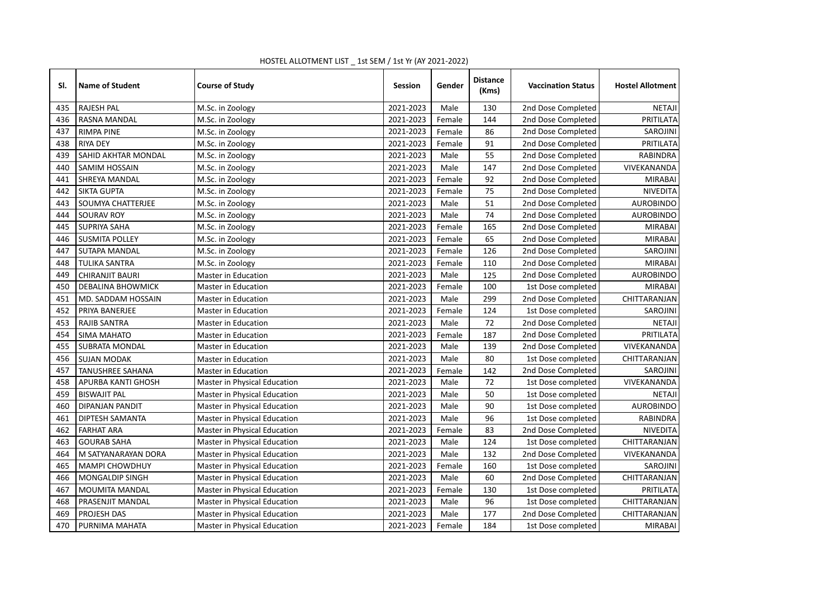| SI. | <b>Name of Student</b>   | <b>Course of Study</b>       | <b>Session</b> | Gender | <b>Distance</b><br>(Kms) | <b>Vaccination Status</b> | <b>Hostel Allotment</b> |
|-----|--------------------------|------------------------------|----------------|--------|--------------------------|---------------------------|-------------------------|
| 435 | <b>RAJESH PAL</b>        | M.Sc. in Zoology             | 2021-2023      | Male   | 130                      | 2nd Dose Completed        | <b>NETAJI</b>           |
| 436 | RASNA MANDAL             | M.Sc. in Zoology             | 2021-2023      | Female | 144                      | 2nd Dose Completed        | PRITILATA               |
| 437 | <b>RIMPA PINE</b>        | M.Sc. in Zoology             | 2021-2023      | Female | 86                       | 2nd Dose Completed        | SAROJINI                |
| 438 | <b>RIYA DEY</b>          | M.Sc. in Zoology             | 2021-2023      | Female | 91                       | 2nd Dose Completed        | PRITILATA               |
| 439 | SAHID AKHTAR MONDAL      | M.Sc. in Zoology             | 2021-2023      | Male   | 55                       | 2nd Dose Completed        | RABINDRA                |
| 440 | SAMIM HOSSAIN            | M.Sc. in Zoology             | 2021-2023      | Male   | 147                      | 2nd Dose Completed        | VIVEKANANDA             |
| 441 | <b>SHREYA MANDAL</b>     | M.Sc. in Zoology             | 2021-2023      | Female | 92                       | 2nd Dose Completed        | <b>MIRABAI</b>          |
| 442 | <b>SIKTA GUPTA</b>       | M.Sc. in Zoology             | 2021-2023      | Female | 75                       | 2nd Dose Completed        | <b>NIVEDITA</b>         |
| 443 | <b>SOUMYA CHATTERJEE</b> | M.Sc. in Zoology             | 2021-2023      | Male   | 51                       | 2nd Dose Completed        | <b>AUROBINDO</b>        |
| 444 | SOURAV ROY               | M.Sc. in Zoology             | 2021-2023      | Male   | 74                       | 2nd Dose Completed        | <b>AUROBINDO</b>        |
| 445 | SUPRIYA SAHA             | M.Sc. in Zoology             | 2021-2023      | Female | 165                      | 2nd Dose Completed        | <b>MIRABAI</b>          |
| 446 | <b>SUSMITA POLLEY</b>    | M.Sc. in Zoology             | 2021-2023      | Female | 65                       | 2nd Dose Completed        | <b>MIRABAI</b>          |
| 447 | SUTAPA MANDAL            | M.Sc. in Zoology             | 2021-2023      | Female | 126                      | 2nd Dose Completed        | SAROJINI                |
| 448 | <b>TULIKA SANTRA</b>     | M.Sc. in Zoology             | 2021-2023      | Female | 110                      | 2nd Dose Completed        | <b>MIRABAI</b>          |
| 449 | CHIRANJIT BAURI          | Master in Education          | 2021-2023      | Male   | 125                      | 2nd Dose Completed        | <b>AUROBINDO</b>        |
| 450 | <b>DEBALINA BHOWMICK</b> | Master in Education          | 2021-2023      | Female | 100                      | 1st Dose completed        | <b>MIRABAI</b>          |
| 451 | MD. SADDAM HOSSAIN       | Master in Education          | 2021-2023      | Male   | 299                      | 2nd Dose Completed        | CHITTARANJAN            |
| 452 | PRIYA BANERJEE           | <b>Master in Education</b>   | 2021-2023      | Female | 124                      | 1st Dose completed        | SAROJINI                |
| 453 | <b>RAJIB SANTRA</b>      | Master in Education          | 2021-2023      | Male   | 72                       | 2nd Dose Completed        | <b>NETAJI</b>           |
| 454 | SIMA MAHATO              | Master in Education          | 2021-2023      | Female | 187                      | 2nd Dose Completed        | PRITILATA               |
| 455 | SUBRATA MONDAL           | Master in Education          | 2021-2023      | Male   | 139                      | 2nd Dose Completed        | VIVEKANANDA             |
| 456 | <b>SUJAN MODAK</b>       | Master in Education          | 2021-2023      | Male   | 80                       | 1st Dose completed        | CHITTARANJAN            |
| 457 | <b>TANUSHREE SAHANA</b>  | Master in Education          | 2021-2023      | Female | 142                      | 2nd Dose Completed        | SAROJINI                |
| 458 | APURBA KANTI GHOSH       | Master in Physical Education | 2021-2023      | Male   | 72                       | 1st Dose completed        | VIVEKANANDA             |
| 459 | <b>BISWAJIT PAL</b>      | Master in Physical Education | 2021-2023      | Male   | 50                       | 1st Dose completed        | <b>NETAJI</b>           |
| 460 | DIPANJAN PANDIT          | Master in Physical Education | 2021-2023      | Male   | 90                       | 1st Dose completed        | <b>AUROBINDO</b>        |
| 461 | DIPTESH SAMANTA          | Master in Physical Education | 2021-2023      | Male   | 96                       | 1st Dose completed        | <b>RABINDRA</b>         |
| 462 | <b>FARHAT ARA</b>        | Master in Physical Education | 2021-2023      | Female | 83                       | 2nd Dose Completed        | NIVEDITA                |
| 463 | <b>GOURAB SAHA</b>       | Master in Physical Education | 2021-2023      | Male   | 124                      | 1st Dose completed        | CHITTARANJAN            |
| 464 | M SATYANARAYAN DORA      | Master in Physical Education | 2021-2023      | Male   | 132                      | 2nd Dose Completed        | VIVEKANANDA             |
| 465 | <b>MAMPI CHOWDHUY</b>    | Master in Physical Education | 2021-2023      | Female | 160                      | 1st Dose completed        | SAROJINI                |
| 466 | MONGALDIP SINGH          | Master in Physical Education | 2021-2023      | Male   | 60                       | 2nd Dose Completed        | CHITTARANJAN            |
| 467 | <b>MOUMITA MANDAL</b>    | Master in Physical Education | 2021-2023      | Female | 130                      | 1st Dose completed        | PRITILATA               |
| 468 | PRASENJIT MANDAL         | Master in Physical Education | 2021-2023      | Male   | 96                       | 1st Dose completed        | CHITTARANJAN            |
| 469 | PROJESH DAS              | Master in Physical Education | 2021-2023      | Male   | 177                      | 2nd Dose Completed        | CHITTARANJAN            |
| 470 | PURNIMA MAHATA           | Master in Physical Education | 2021-2023      | Female | 184                      | 1st Dose completed        | <b>MIRABAI</b>          |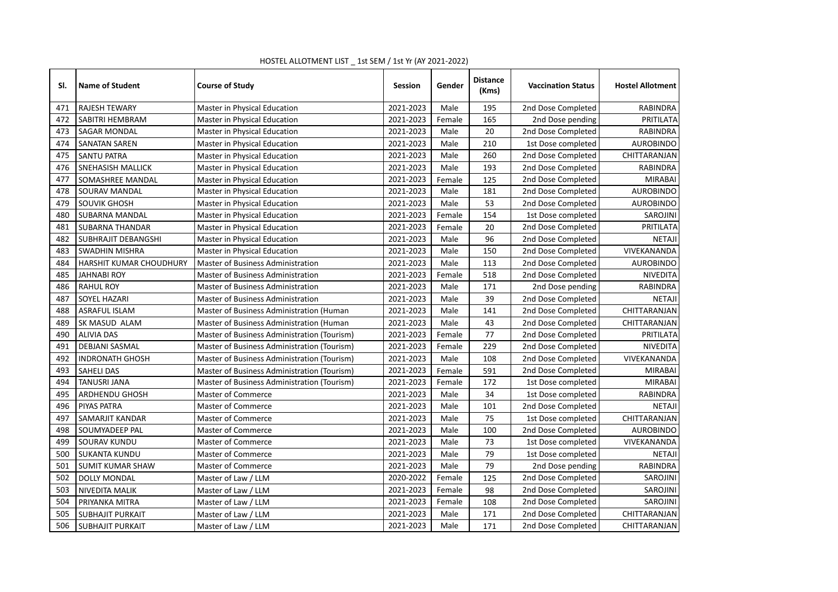| SI. | <b>Name of Student</b>  | <b>Course of Study</b>                      | <b>Session</b> | Gender | <b>Distance</b><br>(Kms) | <b>Vaccination Status</b> | <b>Hostel Allotment</b> |
|-----|-------------------------|---------------------------------------------|----------------|--------|--------------------------|---------------------------|-------------------------|
| 471 | <b>RAJESH TEWARY</b>    | Master in Physical Education                | 2021-2023      | Male   | 195                      | 2nd Dose Completed        | <b>RABINDRA</b>         |
| 472 | SABITRI HEMBRAM         | Master in Physical Education                | 2021-2023      | Female | 165                      | 2nd Dose pending          | PRITILATA               |
| 473 | <b>SAGAR MONDAL</b>     | Master in Physical Education                | 2021-2023      | Male   | 20                       | 2nd Dose Completed        | RABINDRA                |
| 474 | <b>SANATAN SAREN</b>    | Master in Physical Education                | 2021-2023      | Male   | 210                      | 1st Dose completed        | <b>AUROBINDO</b>        |
| 475 | <b>SANTU PATRA</b>      | Master in Physical Education                | 2021-2023      | Male   | 260                      | 2nd Dose Completed        | CHITTARANJAN            |
| 476 | SNEHASISH MALLICK       | Master in Physical Education                | 2021-2023      | Male   | 193                      | 2nd Dose Completed        | <b>RABINDRA</b>         |
| 477 | SOMASHREE MANDAL        | Master in Physical Education                | 2021-2023      | Female | 125                      | 2nd Dose Completed        | <b>MIRABAI</b>          |
| 478 | SOURAV MANDAL           | Master in Physical Education                | 2021-2023      | Male   | 181                      | 2nd Dose Completed        | <b>AUROBINDO</b>        |
| 479 | SOUVIK GHOSH            | Master in Physical Education                | 2021-2023      | Male   | 53                       | 2nd Dose Completed        | <b>AUROBINDO</b>        |
| 480 | SUBARNA MANDAL          | Master in Physical Education                | 2021-2023      | Female | 154                      | 1st Dose completed        | SAROJINI                |
| 481 | <b>SUBARNA THANDAR</b>  | Master in Physical Education                | 2021-2023      | Female | 20                       | 2nd Dose Completed        | PRITILATA               |
| 482 | SUBHRAJIT DEBANGSHI     | Master in Physical Education                | 2021-2023      | Male   | 96                       | 2nd Dose Completed        | <b>NETAJI</b>           |
| 483 | SWADHIN MISHRA          | Master in Physical Education                | 2021-2023      | Male   | 150                      | 2nd Dose Completed        | VIVEKANANDA             |
| 484 | HARSHIT KUMAR CHOUDHURY | <b>Master of Business Administration</b>    | 2021-2023      | Male   | 113                      | 2nd Dose Completed        | <b>AUROBINDO</b>        |
| 485 | <b>JAHNABI ROY</b>      | Master of Business Administration           | 2021-2023      | Female | 518                      | 2nd Dose Completed        | <b>NIVEDITA</b>         |
| 486 | <b>RAHUL ROY</b>        | Master of Business Administration           | 2021-2023      | Male   | 171                      | 2nd Dose pending          | <b>RABINDRA</b>         |
| 487 | SOYEL HAZARI            | <b>Master of Business Administration</b>    | 2021-2023      | Male   | 39                       | 2nd Dose Completed        | <b>NETAJI</b>           |
| 488 | <b>ASRAFUL ISLAM</b>    | Master of Business Administration (Human    | 2021-2023      | Male   | 141                      | 2nd Dose Completed        | CHITTARANJAN            |
| 489 | SK MASUD ALAM           | Master of Business Administration (Human    | 2021-2023      | Male   | 43                       | 2nd Dose Completed        | CHITTARANJAN            |
| 490 | <b>ALIVIA DAS</b>       | Master of Business Administration (Tourism) | 2021-2023      | Female | $77$                     | 2nd Dose Completed        | PRITILATA               |
| 491 | <b>DEBJANI SASMAL</b>   | Master of Business Administration (Tourism) | 2021-2023      | Female | 229                      | 2nd Dose Completed        | <b>NIVEDITA</b>         |
| 492 | <b>INDRONATH GHOSH</b>  | Master of Business Administration (Tourism) | 2021-2023      | Male   | 108                      | 2nd Dose Completed        | VIVEKANANDA             |
| 493 | <b>SAHELI DAS</b>       | Master of Business Administration (Tourism) | 2021-2023      | Female | 591                      | 2nd Dose Completed        | <b>MIRABAI</b>          |
| 494 | <b>TANUSRI JANA</b>     | Master of Business Administration (Tourism) | 2021-2023      | Female | 172                      | 1st Dose completed        | <b>MIRABAI</b>          |
| 495 | ARDHENDU GHOSH          | <b>Master of Commerce</b>                   | 2021-2023      | Male   | 34                       | 1st Dose completed        | <b>RABINDRA</b>         |
| 496 | PIYAS PATRA             | <b>Master of Commerce</b>                   | 2021-2023      | Male   | 101                      | 2nd Dose Completed        | <b>NETAJI</b>           |
| 497 | SAMARJIT KANDAR         | Master of Commerce                          | 2021-2023      | Male   | 75                       | 1st Dose completed        | CHITTARANJAN            |
| 498 | SOUMYADEEP PAL          | <b>Master of Commerce</b>                   | 2021-2023      | Male   | 100                      | 2nd Dose Completed        | <b>AUROBINDO</b>        |
| 499 | SOURAV KUNDU            | <b>Master of Commerce</b>                   | 2021-2023      | Male   | 73                       | 1st Dose completed        | VIVEKANANDA             |
| 500 | <b>SUKANTA KUNDU</b>    | <b>Master of Commerce</b>                   | 2021-2023      | Male   | 79                       | 1st Dose completed        | <b>NETAJI</b>           |
| 501 | <b>SUMIT KUMAR SHAW</b> | <b>Master of Commerce</b>                   | 2021-2023      | Male   | 79                       | 2nd Dose pending          | RABINDRA                |
| 502 | <b>DOLLY MONDAL</b>     | Master of Law / LLM                         | 2020-2022      | Female | 125                      | 2nd Dose Completed        | SAROJINI                |
| 503 | NIVEDITA MALIK          | Master of Law / LLM                         | 2021-2023      | Female | 98                       | 2nd Dose Completed        | SAROJINI                |
| 504 | PRIYANKA MITRA          | Master of Law / LLM                         | 2021-2023      | Female | 108                      | 2nd Dose Completed        | SAROJINI                |
| 505 | <b>SUBHAJIT PURKAIT</b> | Master of Law / LLM                         | 2021-2023      | Male   | 171                      | 2nd Dose Completed        | CHITTARANJAN            |
| 506 | <b>SUBHAJIT PURKAIT</b> | Master of Law / LLM                         | 2021-2023      | Male   | 171                      | 2nd Dose Completed        | CHITTARANJAN            |